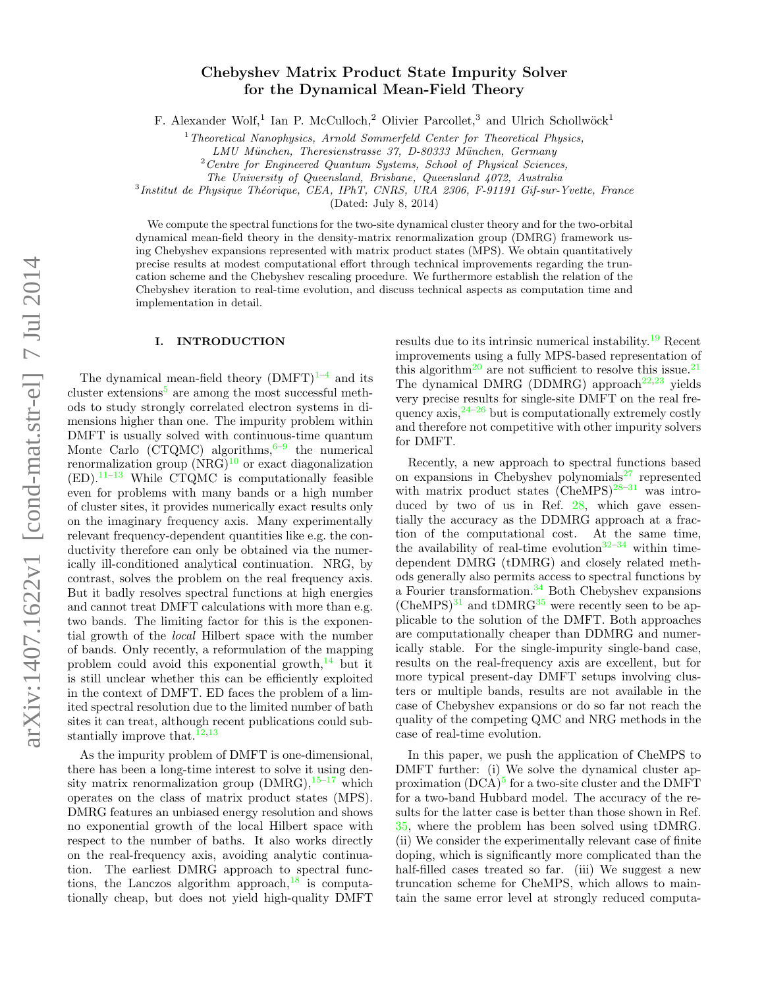# Chebyshev Matrix Product State Impurity Solver for the Dynamical Mean-Field Theory

F. Alexander Wolf,<sup>1</sup> Ian P. McCulloch,<sup>2</sup> Olivier Parcollet,<sup>3</sup> and Ulrich Schollwöck<sup>1</sup>

 $1$ <sup>1</sup> Theoretical Nanophysics, Arnold Sommerfeld Center for Theoretical Physics,

LMU München, Theresienstrasse 37, D-80333 München, Germany

 $2$  Centre for Engineered Quantum Systems, School of Physical Sciences,

The University of Queensland, Brisbane, Queensland 4072, Australia

<sup>3</sup>Institut de Physique Théorique, CEA, IPhT, CNRS, URA 2306, F-91191 Gif-sur-Yvette, France

(Dated: July 8, 2014)

We compute the spectral functions for the two-site dynamical cluster theory and for the two-orbital dynamical mean-field theory in the density-matrix renormalization group (DMRG) framework using Chebyshev expansions represented with matrix product states (MPS). We obtain quantitatively precise results at modest computational effort through technical improvements regarding the truncation scheme and the Chebyshev rescaling procedure. We furthermore establish the relation of the Chebyshev iteration to real-time evolution, and discuss technical aspects as computation time and implementation in detail.

## I. INTRODUCTION

The dynamical mean-field theory  $(DMFT)^{1-4}$  $(DMFT)^{1-4}$  $(DMFT)^{1-4}$  and its cluster extensions<sup>[5](#page-18-2)</sup> are among the most successful methods to study strongly correlated electron systems in dimensions higher than one. The impurity problem within DMFT is usually solved with continuous-time quantum Monte Carlo (CTQMC) algorithms,  $6-9$  $6-9$  the numerical renormalization group  $(NRG)^{10}$  $(NRG)^{10}$  $(NRG)^{10}$  or exact diagonalization  $(ED).$ <sup>[11–](#page-18-6)[13](#page-18-7)</sup> While CTQMC is computationally feasible even for problems with many bands or a high number of cluster sites, it provides numerically exact results only on the imaginary frequency axis. Many experimentally relevant frequency-dependent quantities like e.g. the conductivity therefore can only be obtained via the numerically ill-conditioned analytical continuation. NRG, by contrast, solves the problem on the real frequency axis. But it badly resolves spectral functions at high energies and cannot treat DMFT calculations with more than e.g. two bands. The limiting factor for this is the exponential growth of the local Hilbert space with the number of bands. Only recently, a reformulation of the mapping problem could avoid this exponential growth, $^{14}$  $^{14}$  $^{14}$  but it is still unclear whether this can be efficiently exploited in the context of DMFT. ED faces the problem of a limited spectral resolution due to the limited number of bath sites it can treat, although recent publications could substantially improve that  $12,13$  $12,13$ 

As the impurity problem of DMFT is one-dimensional, there has been a long-time interest to solve it using density matrix renormalization group  $(DMRG),$ <sup>[15–](#page-18-10)[17](#page-18-11)</sup> which operates on the class of matrix product states (MPS). DMRG features an unbiased energy resolution and shows no exponential growth of the local Hilbert space with respect to the number of baths. It also works directly on the real-frequency axis, avoiding analytic continuation. The earliest DMRG approach to spectral functions, the Lanczos algorithm approach,  $^{18}$  $^{18}$  $^{18}$  is computationally cheap, but does not yield high-quality DMFT

results due to its intrinsic numerical instability.[19](#page-18-13) Recent improvements using a fully MPS-based representation of this algorithm<sup>[20](#page-18-14)</sup> are not sufficient to resolve this issue.<sup>[21](#page-18-15)</sup> The dynamical DMRG (DDMRG) approach<sup>[22,](#page-18-16)[23](#page-18-17)</sup> yields very precise results for single-site DMFT on the real frequency  $axis, \frac{24-26}{ }$  $axis, \frac{24-26}{ }$  $axis, \frac{24-26}{ }$  but is computationally extremely costly and therefore not competitive with other impurity solvers for DMFT.

Recently, a new approach to spectral functions based on expansions in Chebyshev polynomials $^{27}$  $^{27}$  $^{27}$  represented with matrix product states  $(CheMPS)^{28-31}$  $(CheMPS)^{28-31}$  $(CheMPS)^{28-31}$  was introduced by two of us in Ref. [28,](#page-18-21) which gave essentially the accuracy as the DDMRG approach at a fraction of the computational cost. At the same time, the availability of real-time evolution $32-34$  $32-34$  within timedependent DMRG (tDMRG) and closely related methods generally also permits access to spectral functions by a Fourier transformation. $34$  Both Chebyshev expansions  $(CheMPS)^{31}$  $(CheMPS)^{31}$  $(CheMPS)^{31}$  and  $tDMRG^{35}$  $tDMRG^{35}$  $tDMRG^{35}$  were recently seen to be applicable to the solution of the DMFT. Both approaches are computationally cheaper than DDMRG and numerically stable. For the single-impurity single-band case, results on the real-frequency axis are excellent, but for more typical present-day DMFT setups involving clusters or multiple bands, results are not available in the case of Chebyshev expansions or do so far not reach the quality of the competing QMC and NRG methods in the case of real-time evolution.

In this paper, we push the application of CheMPS to DMFT further: (i) We solve the dynamical cluster approximation  $(DCA)^5$  $(DCA)^5$  for a two-site cluster and the DMFT for a two-band Hubbard model. The accuracy of the results for the latter case is better than those shown in Ref. [35,](#page-18-25) where the problem has been solved using tDMRG. (ii) We consider the experimentally relevant case of finite doping, which is significantly more complicated than the half-filled cases treated so far. (iii) We suggest a new truncation scheme for CheMPS, which allows to maintain the same error level at strongly reduced computa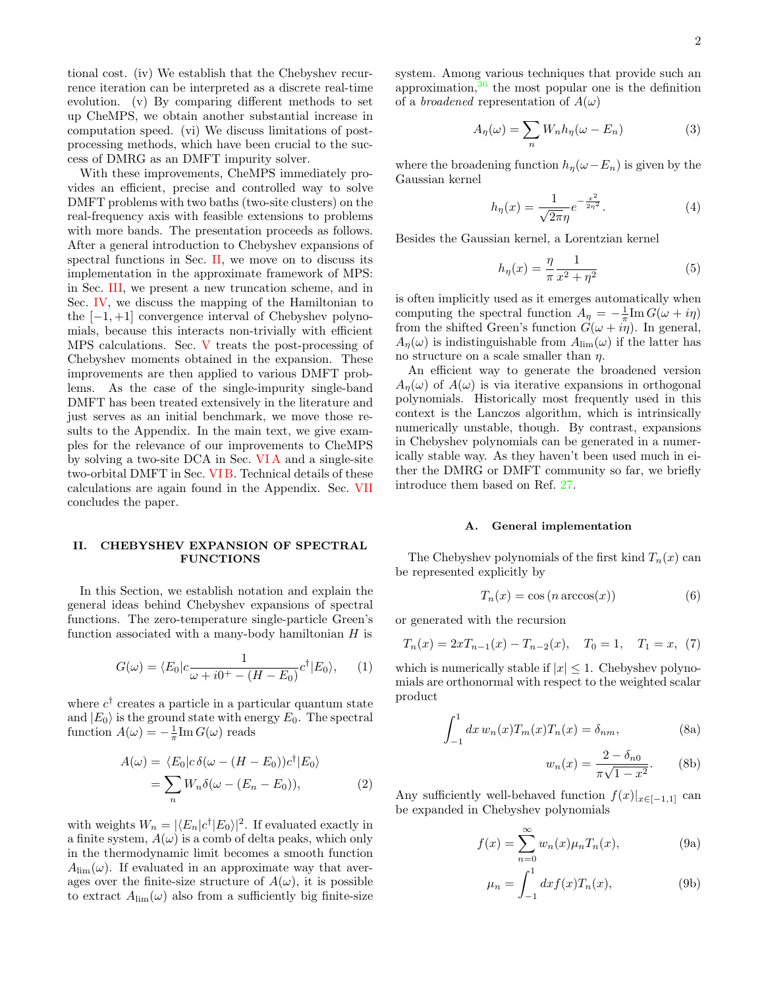tional cost. (iv) We establish that the Chebyshev recurrence iteration can be interpreted as a discrete real-time evolution. (v) By comparing different methods to set up CheMPS, we obtain another substantial increase in computation speed. (vi) We discuss limitations of postprocessing methods, which have been crucial to the success of DMRG as an DMFT impurity solver.

With these improvements, CheMPS immediately provides an efficient, precise and controlled way to solve DMFT problems with two baths (two-site clusters) on the real-frequency axis with feasible extensions to problems with more bands. The presentation proceeds as follows. After a general introduction to Chebyshev expansions of spectral functions in Sec. [II,](#page-1-0) we move on to discuss its implementation in the approximate framework of MPS: in Sec. [III,](#page-3-0) we present a new truncation scheme, and in Sec. [IV,](#page-4-0) we discuss the mapping of the Hamiltonian to the  $[-1, +1]$  convergence interval of Chebyshev polynomials, because this interacts non-trivially with efficient MPS calculations. Sec. [V](#page-7-0) treats the post-processing of Chebyshev moments obtained in the expansion. These improvements are then applied to various DMFT problems. As the case of the single-impurity single-band DMFT has been treated extensively in the literature and just serves as an initial benchmark, we move those results to the Appendix. In the main text, we give examples for the relevance of our improvements to CheMPS by solving a two-site DCA in Sec. [VI A](#page-9-0) and a single-site two-orbital DMFT in Sec. [VI B.](#page-11-0) Technical details of these calculations are again found in the Appendix. Sec. [VII](#page-12-0) concludes the paper.

## <span id="page-1-0"></span>II. CHEBYSHEV EXPANSION OF SPECTRAL FUNCTIONS

In this Section, we establish notation and explain the general ideas behind Chebyshev expansions of spectral functions. The zero-temperature single-particle Green's function associated with a many-body hamiltonian  $H$  is

$$
G(\omega) = \langle E_0 | c \frac{1}{\omega + i0^+ - (H - E_0)} c^{\dagger} | E_0 \rangle, \qquad (1)
$$

where  $c^{\dagger}$  creates a particle in a particular quantum state and  $|E_0\rangle$  is the ground state with energy  $E_0$ . The spectral function  $A(\omega) = -\frac{1}{\pi} \text{Im} G(\omega)$  reads

$$
A(\omega) = \langle E_0 | c \, \delta(\omega - (H - E_0)) c^{\dagger} | E_0 \rangle
$$
  
= 
$$
\sum_n W_n \delta(\omega - (E_n - E_0)),
$$
 (2)

with weights  $W_n = |\langle E_n | c^{\dagger} | E_0 \rangle|^2$ . If evaluated exactly in a finite system,  $A(\omega)$  is a comb of delta peaks, which only in the thermodynamic limit becomes a smooth function  $A_{\text{lim}}(\omega)$ . If evaluated in an approximate way that averages over the finite-size structure of  $A(\omega)$ , it is possible to extract  $A_{\text{lim}}(\omega)$  also from a sufficiently big finite-size system. Among various techniques that provide such an approximation, $36$  the most popular one is the definition of a *broadened* representation of  $A(\omega)$ 

$$
A_{\eta}(\omega) = \sum_{n} W_{n} h_{\eta}(\omega - E_{n})
$$
 (3)

where the broadening function  $h_n(\omega - E_n)$  is given by the Gaussian kernel

<span id="page-1-2"></span>
$$
h_{\eta}(x) = \frac{1}{\sqrt{2\pi}\eta} e^{-\frac{x^2}{2\eta^2}}.
$$
 (4)

Besides the Gaussian kernel, a Lorentzian kernel

$$
h_{\eta}(x) = \frac{\eta}{\pi} \frac{1}{x^2 + \eta^2} \tag{5}
$$

is often implicitly used as it emerges automatically when computing the spectral function  $A_{\eta} = -\frac{1}{\pi} \text{Im} G(\omega + i\eta)$ from the shifted Green's function  $G(\omega + i\eta)$ . In general,  $A_{\eta}(\omega)$  is indistinguishable from  $A_{\text{lim}}(\omega)$  if the latter has no structure on a scale smaller than  $\eta$ .

An efficient way to generate the broadened version  $A_n(\omega)$  of  $A(\omega)$  is via iterative expansions in orthogonal polynomials. Historically most frequently used in this context is the Lanczos algorithm, which is intrinsically numerically unstable, though. By contrast, expansions in Chebyshev polynomials can be generated in a numerically stable way. As they haven't been used much in either the DMRG or DMFT community so far, we briefly introduce them based on Ref. [27.](#page-18-20)

## A. General implementation

The Chebyshev polynomials of the first kind  $T_n(x)$  can be represented explicitly by

<span id="page-1-6"></span>
$$
T_n(x) = \cos\left(n \arccos(x)\right) \tag{6}
$$

or generated with the recursion

$$
T_n(x) = 2xT_{n-1}(x) - T_{n-2}(x), \quad T_0 = 1, \quad T_1 = x, \tag{7}
$$

which is numerically stable if  $|x| \leq 1$ . Chebyshev polynomials are orthonormal with respect to the weighted scalar product

$$
\int_{-1}^{1} dx w_n(x) T_m(x) T_n(x) = \delta_{nm},
$$
\n(8a)

<span id="page-1-7"></span><span id="page-1-5"></span><span id="page-1-4"></span><span id="page-1-1"></span>
$$
w_n(x) = \frac{2 - \delta_{n0}}{\pi \sqrt{1 - x^2}}.
$$
 (8b)

<span id="page-1-3"></span>Any sufficiently well-behaved function  $f(x)|_{x\in[-1,1]}$  can be expanded in Chebyshev polynomials

$$
f(x) = \sum_{n=0}^{\infty} w_n(x) \mu_n T_n(x), \tag{9a}
$$

$$
\mu_n = \int_{-1}^{1} dx f(x) T_n(x), \tag{9b}
$$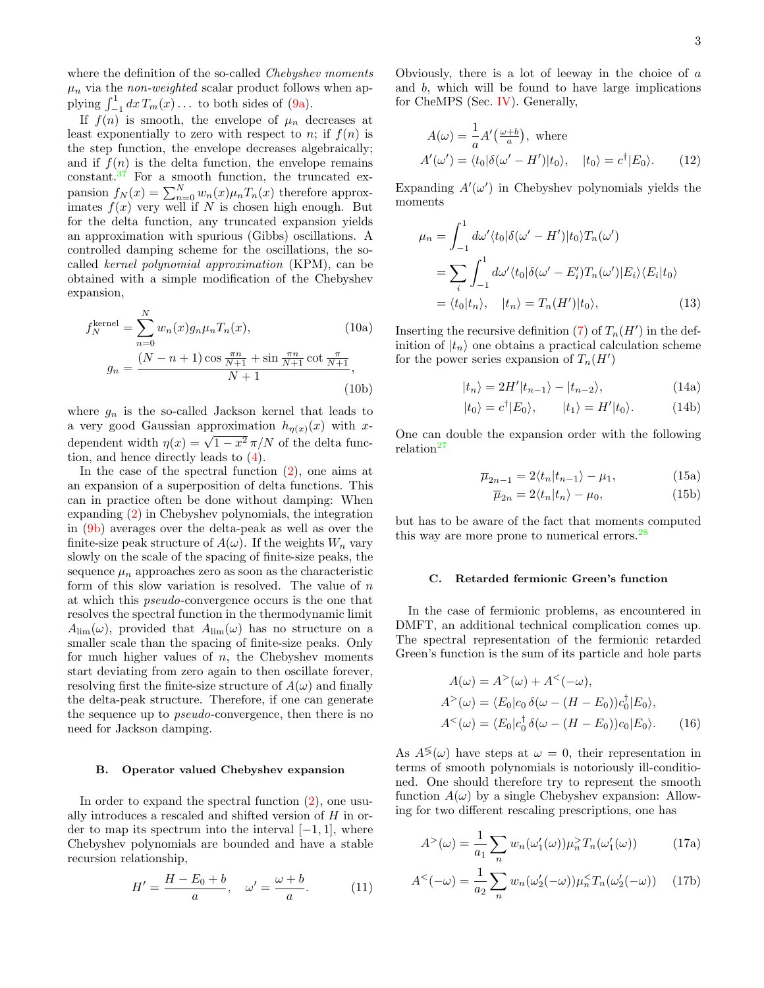where the definition of the so-called Chebyshev moments  $\mu_n$  via the *non-weighted* scalar product follows when applying  $\int_{-1}^{1} dx T_m(x) \dots$  to both sides of [\(9a\)](#page-1-1).

If  $f(n)$  is smooth, the envelope of  $\mu_n$  decreases at least exponentially to zero with respect to n; if  $f(n)$  is the step function, the envelope decreases algebraically; and if  $f(n)$  is the delta function, the envelope remains  $constant.^37$  $constant.^37$  For a smooth function, the truncated expansion  $f_N(x) = \sum_{n=0}^{N} w_n(x) \mu_n T_n(x)$  therefore approximates  $f(x)$  very well if N is chosen high enough. But for the delta function, any truncated expansion yields an approximation with spurious (Gibbs) oscillations. A controlled damping scheme for the oscillations, the socalled kernel polynomial approximation (KPM), can be obtained with a simple modification of the Chebyshev expansion,

$$
f_N^{\text{kernel}} = \sum_{n=0}^{N} w_n(x) g_n \mu_n T_n(x), \qquad (10a)
$$

$$
g_n = \frac{(N - n + 1) \cos \frac{\pi n}{N + 1} + \sin \frac{\pi n}{N + 1} \cot \frac{\pi}{N + 1}}{N + 1}, \qquad (10b)
$$

where  $g_n$  is the so-called Jackson kernel that leads to a very good Gaussian approximation  $h_{n(x)}(x)$  with xdependent width  $\eta(x) = \sqrt{1-x^2} \pi/N$  of the delta function, and hence directly leads to [\(4\)](#page-1-2).

In the case of the spectral function [\(2\)](#page-1-3), one aims at an expansion of a superposition of delta functions. This can in practice often be done without damping: When expanding [\(2\)](#page-1-3) in Chebyshev polynomials, the integration in [\(9b\)](#page-1-4) averages over the delta-peak as well as over the finite-size peak structure of  $A(\omega)$ . If the weights  $W_n$  vary slowly on the scale of the spacing of finite-size peaks, the sequence  $\mu_n$  approaches zero as soon as the characteristic form of this slow variation is resolved. The value of  $n$ at which this pseudo-convergence occurs is the one that resolves the spectral function in the thermodynamic limit  $A_{\text{lim}}(\omega)$ , provided that  $A_{\text{lim}}(\omega)$  has no structure on a smaller scale than the spacing of finite-size peaks. Only for much higher values of  $n$ , the Chebyshev moments start deviating from zero again to then oscillate forever, resolving first the finite-size structure of  $A(\omega)$  and finally the delta-peak structure. Therefore, if one can generate the sequence up to pseudo-convergence, then there is no need for Jackson damping.

#### B. Operator valued Chebyshev expansion

In order to expand the spectral function  $(2)$ , one usually introduces a rescaled and shifted version of H in order to map its spectrum into the interval  $[-1, 1]$ , where Chebyshev polynomials are bounded and have a stable recursion relationship,

$$
H' = \frac{H - E_0 + b}{a}, \quad \omega' = \frac{\omega + b}{a}.
$$
 (11)

Obviously, there is a lot of leeway in the choice of  $\alpha$ and b, which will be found to have large implications for CheMPS (Sec. [IV\)](#page-4-0). Generally,

$$
A(\omega) = \frac{1}{a} A'(\frac{\omega + b}{a}), \text{ where}
$$
  
\n
$$
A'(\omega') = \langle t_0 | \delta(\omega' - H') | t_0 \rangle, \quad |t_0 \rangle = c^{\dagger} | E_0 \rangle.
$$
 (12)

Expanding  $A'(\omega')$  in Chebyshev polynomials yields the moments

$$
\mu_n = \int_{-1}^1 d\omega' \langle t_0 | \delta(\omega' - H') | t_0 \rangle T_n(\omega')
$$
  
= 
$$
\sum_i \int_{-1}^1 d\omega' \langle t_0 | \delta(\omega' - E'_i) T_n(\omega') | E_i \rangle \langle E_i | t_0 \rangle
$$
  
= 
$$
\langle t_0 | t_n \rangle, \quad |t_n \rangle = T_n(H') | t_0 \rangle,
$$
 (13)

<span id="page-2-4"></span>Inserting the recursive definition [\(7\)](#page-1-5) of  $T_n(H')$  in the definition of  $|t_n\rangle$  one obtains a practical calculation scheme for the power series expansion of  $T_n(H')$ 

<span id="page-2-5"></span><span id="page-2-0"></span>
$$
|t_n\rangle = 2H'|t_{n-1}\rangle - |t_{n-2}\rangle, \tag{14a}
$$

$$
|t_0\rangle = c^{\dagger} |E_0\rangle, \qquad |t_1\rangle = H'|t_0\rangle. \tag{14b}
$$

One can double the expansion order with the following relation<sup>[27](#page-18-20)</sup>

$$
\overline{\mu}_{2n-1} = 2 \langle t_n | t_{n-1} \rangle - \mu_1,\tag{15a}
$$

$$
\overline{\mu}_{2n} = 2 \langle t_n | t_n \rangle - \mu_0,\tag{15b}
$$

but has to be aware of the fact that moments computed this way are more prone to numerical errors.<sup>[28](#page-18-21)</sup>

#### <span id="page-2-2"></span>C. Retarded fermionic Green's function

In the case of fermionic problems, as encountered in DMFT, an additional technical complication comes up. The spectral representation of the fermionic retarded Green's function is the sum of its particle and hole parts

$$
A(\omega) = A^{>}(\omega) + A^{<}(-\omega),
$$
  
\n
$$
A^{>}(\omega) = \langle E_0 | c_0 \,\delta(\omega - (H - E_0)) c_0^{\dagger} | E_0 \rangle,
$$
  
\n
$$
A^{<}(\omega) = \langle E_0 | c_0^{\dagger} \,\delta(\omega - (H - E_0)) c_0 | E_0 \rangle.
$$
 (16)

As  $A^{\lessgtr}(\omega)$  have steps at  $\omega = 0$ , their representation in terms of smooth polynomials is notoriously ill-conditioned. One should therefore try to represent the smooth function  $A(\omega)$  by a single Chebyshev expansion: Allowing for two different rescaling prescriptions, one has

<span id="page-2-1"></span>
$$
A^{>}(\omega) = \frac{1}{a_1} \sum_n w_n(\omega_1'(\omega)) \mu_n^{>} T_n(\omega_1'(\omega)) \tag{17a}
$$

<span id="page-2-3"></span>
$$
A2(-\omega) = \frac{1}{a_2} \sum_n w_n(\omega_2'(-\omega)) \mu_n^2 T_n(\omega_2'(-\omega)) \quad (17b)
$$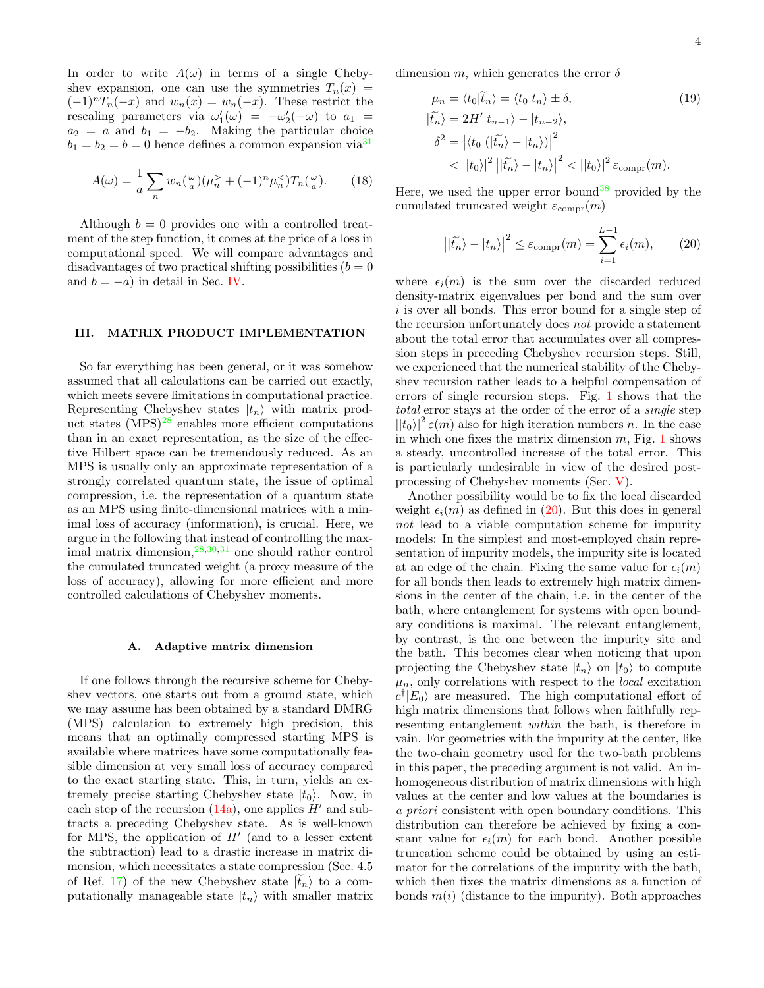In order to write  $A(\omega)$  in terms of a single Chebyshev expansion, one can use the symmetries  $T_n(x) =$  $(-1)^nT_n(-x)$  and  $w_n(x) = w_n(-x)$ . These restrict the rescaling parameters via  $\omega_1'(\omega) = -\omega_2'(-\omega)$  to  $a_1 =$  $a_2 = a$  and  $b_1 = -b_2$ . Making the particular choice  $b_1 = b_2 = b = 0$  hence defines a common expansion via<sup>[31](#page-18-22)</sup>

$$
A(\omega) = \frac{1}{a} \sum_{n} w_n \left(\frac{\omega}{a}\right) \left(\mu_n^> + (-1)^n \mu_n^< \right) T_n \left(\frac{\omega}{a}\right). \tag{18}
$$

Although  $b = 0$  provides one with a controlled treatment of the step function, it comes at the price of a loss in computational speed. We will compare advantages and disadvantages of two practical shifting possibilities  $(b = 0)$ and  $b = -a$ ) in detail in Sec. [IV.](#page-4-0)

## <span id="page-3-0"></span>III. MATRIX PRODUCT IMPLEMENTATION

So far everything has been general, or it was somehow assumed that all calculations can be carried out exactly, which meets severe limitations in computational practice. Representing Chebyshev states  $|t_n\rangle$  with matrix product states  $(MPS)^{28}$  $(MPS)^{28}$  $(MPS)^{28}$  enables more efficient computations than in an exact representation, as the size of the effective Hilbert space can be tremendously reduced. As an MPS is usually only an approximate representation of a strongly correlated quantum state, the issue of optimal compression, i.e. the representation of a quantum state as an MPS using finite-dimensional matrices with a minimal loss of accuracy (information), is crucial. Here, we argue in the following that instead of controlling the maximal matrix dimension, $28,30,31$  $28,30,31$  $28,30,31$  one should rather control the cumulated truncated weight (a proxy measure of the loss of accuracy), allowing for more efficient and more controlled calculations of Chebyshev moments.

## <span id="page-3-2"></span>A. Adaptive matrix dimension

If one follows through the recursive scheme for Chebyshev vectors, one starts out from a ground state, which we may assume has been obtained by a standard DMRG (MPS) calculation to extremely high precision, this means that an optimally compressed starting MPS is available where matrices have some computationally feasible dimension at very small loss of accuracy compared to the exact starting state. This, in turn, yields an extremely precise starting Chebyshev state  $|t_0\rangle$ . Now, in each step of the recursion  $(14a)$ , one applies H' and subtracts a preceding Chebyshev state. As is well-known for MPS, the application of  $H'$  (and to a lesser extent the subtraction) lead to a drastic increase in matrix dimension, which necessitates a state compression (Sec. 4.5 of Ref. [17\)](#page-18-11) of the new Chebyshev state  $|\tilde{t}_n\rangle$  to a computationally manageable state  $|t_n\rangle$  with smaller matrix

dimension m, which generates the error  $\delta$ 

$$
\mu_n = \langle t_0 | \tilde{t}_n \rangle = \langle t_0 | t_n \rangle \pm \delta,
$$
\n
$$
| \tilde{t}_n \rangle = 2H' | t_{n-1} \rangle - | t_{n-2} \rangle,
$$
\n
$$
\delta^2 = \left| \langle t_0 | (| \tilde{t}_n \rangle - | t_n \rangle) \right|^2
$$
\n
$$
< | | t_0 \rangle |^2 | | \tilde{t}_n \rangle - | t_n \rangle |^2 < | | t_0 \rangle |^2 \varepsilon_{\text{compr}}(m).
$$
\n(19)

Here, we used the upper error bound<sup>[38](#page-18-29)</sup> provided by the cumulated truncated weight  $\varepsilon_{\text{compr}}(m)$ 

<span id="page-3-1"></span>
$$
\left| |\tilde{t_n}\rangle - |t_n\rangle \right|^2 \le \varepsilon_{\text{compr}}(m) = \sum_{i=1}^{L-1} \epsilon_i(m), \qquad (20)
$$

where  $\epsilon_i(m)$  is the sum over the discarded reduced density-matrix eigenvalues per bond and the sum over i is over all bonds. This error bound for a single step of the recursion unfortunately does not provide a statement about the total error that accumulates over all compression steps in preceding Chebyshev recursion steps. Still, we experienced that the numerical stability of the Chebyshev recursion rather leads to a helpful compensation of errors of single recursion steps. Fig. [1](#page-4-1) shows that the total error stays at the order of the error of a single step  $(|t_0\rangle|^2 \varepsilon(m)$  also for high iteration numbers n. In the case in which one fixes the matrix dimension  $m$ , Fig. [1](#page-4-1) shows a steady, uncontrolled increase of the total error. This is particularly undesirable in view of the desired postprocessing of Chebyshev moments (Sec. [V\)](#page-7-0).

Another possibility would be to fix the local discarded weight  $\epsilon_i(m)$  as defined in [\(20\)](#page-3-1). But this does in general not lead to a viable computation scheme for impurity models: In the simplest and most-employed chain representation of impurity models, the impurity site is located at an edge of the chain. Fixing the same value for  $\epsilon_i(m)$ for all bonds then leads to extremely high matrix dimensions in the center of the chain, i.e. in the center of the bath, where entanglement for systems with open boundary conditions is maximal. The relevant entanglement, by contrast, is the one between the impurity site and the bath. This becomes clear when noticing that upon projecting the Chebyshev state  $|t_n\rangle$  on  $|t_0\rangle$  to compute  $\mu_n$ , only correlations with respect to the *local* excitation  $c^{\dagger}$  | $E_0$ } are measured. The high computational effort of high matrix dimensions that follows when faithfully representing entanglement within the bath, is therefore in vain. For geometries with the impurity at the center, like the two-chain geometry used for the two-bath problems in this paper, the preceding argument is not valid. An inhomogeneous distribution of matrix dimensions with high values at the center and low values at the boundaries is a priori consistent with open boundary conditions. This distribution can therefore be achieved by fixing a constant value for  $\epsilon_i(m)$  for each bond. Another possible truncation scheme could be obtained by using an estimator for the correlations of the impurity with the bath, which then fixes the matrix dimensions as a function of bonds  $m(i)$  (distance to the impurity). Both approaches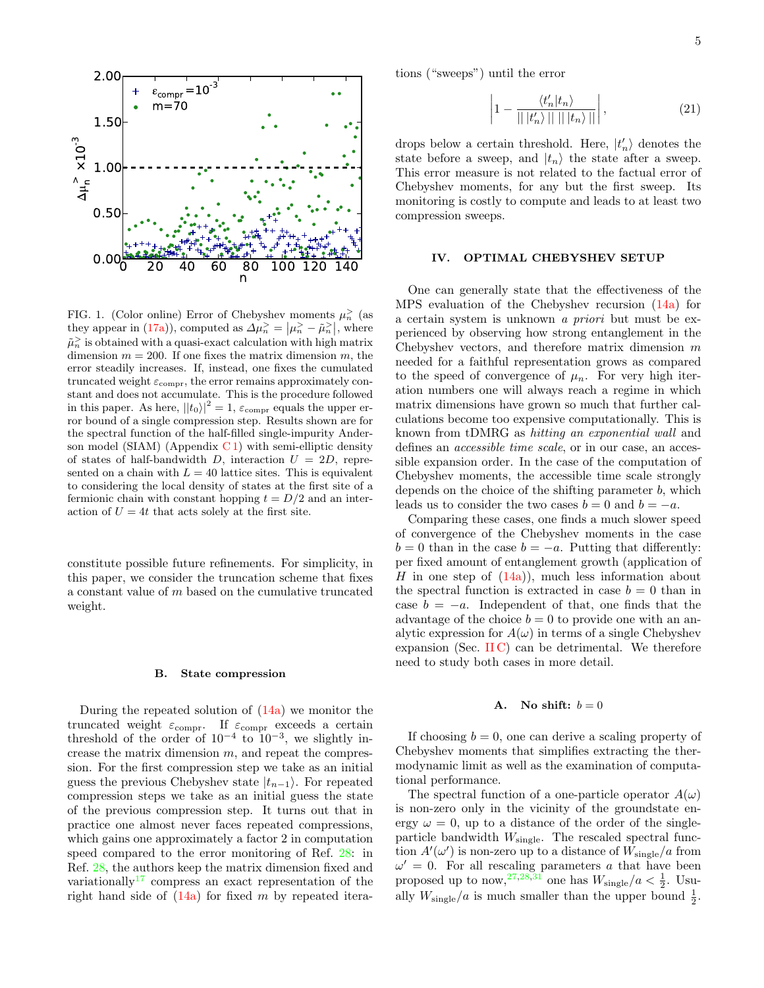5



<span id="page-4-1"></span>FIG. 1. (Color online) Error of Chebyshev moments  $\mu_n^>$  (as they appear in [\(17a\)](#page-2-1)), computed as  $\Delta \mu_n^{\geq} = |\mu_n^{\geq} - \tilde{\mu}_n^{\geq}|$ , where  $\tilde{\mu}_n^>$  is obtained with a quasi-exact calculation with high matrix dimension  $m = 200$ . If one fixes the matrix dimension m, the error steadily increases. If, instead, one fixes the cumulated truncated weight  $\varepsilon_{\text{compr}}$ , the error remains approximately constant and does not accumulate. This is the procedure followed in this paper. As here,  $||t_0||^2 = 1$ ,  $\varepsilon$ <sub>compr</sub> equals the upper error bound of a single compression step. Results shown are for the spectral function of the half-filled single-impurity Anderson model (SIAM) (Appendix  $C_1$ ) with semi-elliptic density of states of half-bandwidth D, interaction  $U = 2D$ , represented on a chain with  $L = 40$  lattice sites. This is equivalent to considering the local density of states at the first site of a fermionic chain with constant hopping  $t = D/2$  and an interaction of  $U = 4t$  that acts solely at the first site.

constitute possible future refinements. For simplicity, in this paper, we consider the truncation scheme that fixes a constant value of m based on the cumulative truncated weight.

#### B. State compression

During the repeated solution of [\(14a\)](#page-2-0) we monitor the truncated weight  $\varepsilon_{\text{compr}}$ . If  $\varepsilon_{\text{compr}}$  exceeds a certain threshold of the order of  $10^{-4}$  to  $10^{-3}$ , we slightly increase the matrix dimension  $m$ , and repeat the compression. For the first compression step we take as an initial guess the previous Chebyshev state  $|t_{n-1}\rangle$ . For repeated compression steps we take as an initial guess the state of the previous compression step. It turns out that in practice one almost never faces repeated compressions, which gains one approximately a factor 2 in computation speed compared to the error monitoring of Ref. [28:](#page-18-21) in Ref. [28,](#page-18-21) the authors keep the matrix dimension fixed and variationally<sup>[17](#page-18-11)</sup> compress an exact representation of the right hand side of  $(14a)$  for fixed m by repeated iterations ("sweeps") until the error

$$
\left|1 - \frac{\langle t'_n | t_n \rangle}{|| |t'_n \rangle || || |t_n \rangle ||} \right|,
$$
\n(21)

drops below a certain threshold. Here,  $|t'_n\rangle$  denotes the state before a sweep, and  $|t_n\rangle$  the state after a sweep. This error measure is not related to the factual error of Chebyshev moments, for any but the first sweep. Its monitoring is costly to compute and leads to at least two compression sweeps.

## <span id="page-4-0"></span>IV. OPTIMAL CHEBYSHEV SETUP

One can generally state that the effectiveness of the MPS evaluation of the Chebyshev recursion [\(14a\)](#page-2-0) for a certain system is unknown a priori but must be experienced by observing how strong entanglement in the Chebyshev vectors, and therefore matrix dimension  $m$ needed for a faithful representation grows as compared to the speed of convergence of  $\mu_n$ . For very high iteration numbers one will always reach a regime in which matrix dimensions have grown so much that further calculations become too expensive computationally. This is known from tDMRG as hitting an exponential wall and defines an accessible time scale, or in our case, an accessible expansion order. In the case of the computation of Chebyshev moments, the accessible time scale strongly depends on the choice of the shifting parameter b, which leads us to consider the two cases  $b = 0$  and  $b = -a$ .

Comparing these cases, one finds a much slower speed of convergence of the Chebyshev moments in the case  $b = 0$  than in the case  $b = -a$ . Putting that differently: per fixed amount of entanglement growth (application of H in one step of  $(14a)$ , much less information about the spectral function is extracted in case  $b = 0$  than in case  $b = -a$ . Independent of that, one finds that the advantage of the choice  $b = 0$  to provide one with an analytic expression for  $A(\omega)$  in terms of a single Chebyshev expansion (Sec. [II C\)](#page-2-2) can be detrimental. We therefore need to study both cases in more detail.

#### A. No shift:  $b = 0$

If choosing  $b = 0$ , one can derive a scaling property of Chebyshev moments that simplifies extracting the thermodynamic limit as well as the examination of computational performance.

The spectral function of a one-particle operator  $A(\omega)$ is non-zero only in the vicinity of the groundstate energy  $\omega = 0$ , up to a distance of the order of the singleparticle bandwidth  $W_{\text{single}}$ . The rescaled spectral function  $A'(\omega')$  is non-zero up to a distance of  $W_{\text{single}}/a$  from  $\omega' = 0$ . For all rescaling parameters a that have been proposed up to now,  $27,28,31$  $27,28,31$  $27,28,31$  one has  $W_{\text{single}}/a < \frac{1}{2}$ . Usually  $W_{\text{single}}/a$  is much smaller than the upper bound  $\frac{1}{2}$ .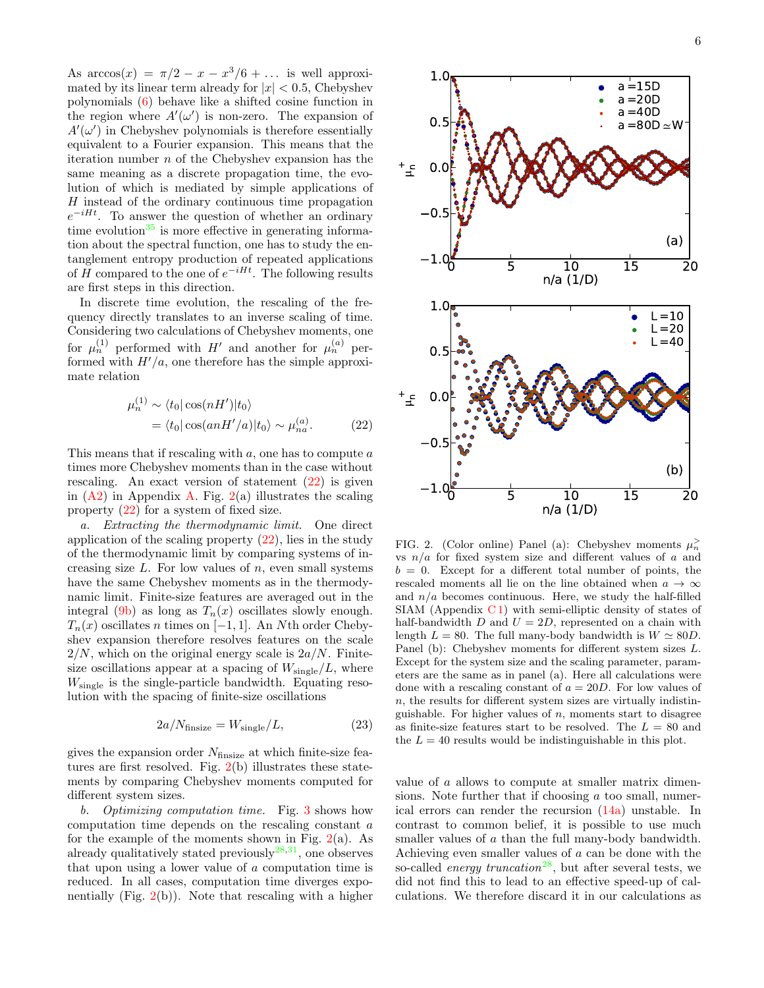As  $arccos(x) = \pi/2 - x - x^3/6 + \dots$  is well approximated by its linear term already for  $|x| < 0.5$ , Chebyshev polynomials [\(6\)](#page-1-6) behave like a shifted cosine function in the region where  $A'(\omega')$  is non-zero. The expansion of  $A'(\omega')$  in Chebyshev polynomials is therefore essentially equivalent to a Fourier expansion. This means that the iteration number  $n$  of the Chebyshev expansion has the same meaning as a discrete propagation time, the evolution of which is mediated by simple applications of H instead of the ordinary continuous time propagation  $e^{-iHt}$ . To answer the question of whether an ordinary time evolution $35$  is more effective in generating information about the spectral function, one has to study the entanglement entropy production of repeated applications of H compared to the one of  $e^{-iHt}$ . The following results are first steps in this direction.

In discrete time evolution, the rescaling of the frequency directly translates to an inverse scaling of time. Considering two calculations of Chebyshev moments, one for  $\mu_n^{(1)}$  performed with H' and another for  $\mu_n^{(a)}$  performed with  $H'(a)$ , one therefore has the simple approximate relation

$$
\mu_n^{(1)} \sim \langle t_0 | \cos(nH') | t_0 \rangle
$$
  
=  $\langle t_0 | \cos(anH'/a) | t_0 \rangle \sim \mu_{na}^{(a)}.$  (22)

This means that if rescaling with  $a$ , one has to compute  $a$ times more Chebyshev moments than in the case without rescaling. An exact version of statement [\(22\)](#page-5-0) is given in  $(A2)$  in Appendix [A.](#page-13-1) Fig.  $2(a)$  $2(a)$  illustrates the scaling property [\(22\)](#page-5-0) for a system of fixed size.

a. Extracting the thermodynamic limit. One direct application of the scaling property  $(22)$ , lies in the study of the thermodynamic limit by comparing systems of increasing size  $L$ . For low values of  $n$ , even small systems have the same Chebyshev moments as in the thermodynamic limit. Finite-size features are averaged out in the integral [\(9b\)](#page-1-4) as long as  $T_n(x)$  oscillates slowly enough.  $T_n(x)$  oscillates n times on [−1, 1]. An Nth order Chebyshev expansion therefore resolves features on the scale  $2/N$ , which on the original energy scale is  $2a/N$ . Finitesize oscillations appear at a spacing of  $W_{single}/L$ , where  $W_{\text{single}}$  is the single-particle bandwidth. Equating resolution with the spacing of finite-size oscillations

$$
2a/N_{\text{finsize}} = W_{\text{single}} / L,\tag{23}
$$

gives the expansion order  $N_{\text{finsize}}$  at which finite-size features are first resolved. Fig.  $2(b)$  $2(b)$  illustrates these statements by comparing Chebyshev moments computed for different system sizes.

b. Optimizing computation time. Fig. [3](#page-6-0) shows how computation time depends on the rescaling constant a for the example of the moments shown in Fig.  $2(a)$  $2(a)$ . As already qualitatively stated previously  $28,31$  $28,31$ , one observes that upon using a lower value of a computation time is reduced. In all cases, computation time diverges exponentially (Fig.  $2(b)$  $2(b)$ ). Note that rescaling with a higher



<span id="page-5-1"></span><span id="page-5-0"></span>FIG. 2. (Color online) Panel (a): Chebyshev moments  $\mu_n^>$ vs  $n/a$  for fixed system size and different values of a and  $b = 0$ . Except for a different total number of points, the rescaled moments all lie on the line obtained when  $a \to \infty$ and  $n/a$  becomes continuous. Here, we study the half-filled  $SIAM$  (Appendix  $C1$ ) with semi-elliptic density of states of half-bandwidth  $D$  and  $U = 2D$ , represented on a chain with length  $L = 80$ . The full many-body bandwidth is  $W \simeq 80D$ . Panel (b): Chebyshev moments for different system sizes L. Except for the system size and the scaling parameter, parameters are the same as in panel (a). Here all calculations were done with a rescaling constant of  $a = 20D$ . For low values of n, the results for different system sizes are virtually indistinguishable. For higher values of  $n$ , moments start to disagree as finite-size features start to be resolved. The  $L = 80$  and the  $L = 40$  results would be indistinguishable in this plot.

value of a allows to compute at smaller matrix dimensions. Note further that if choosing a too small, numerical errors can render the recursion [\(14a\)](#page-2-0) unstable. In contrast to common belief, it is possible to use much smaller values of a than the full many-body bandwidth. Achieving even smaller values of a can be done with the so-called *energy truncation*<sup>[28](#page-18-21)</sup>, but after several tests, we did not find this to lead to an effective speed-up of calculations. We therefore discard it in our calculations as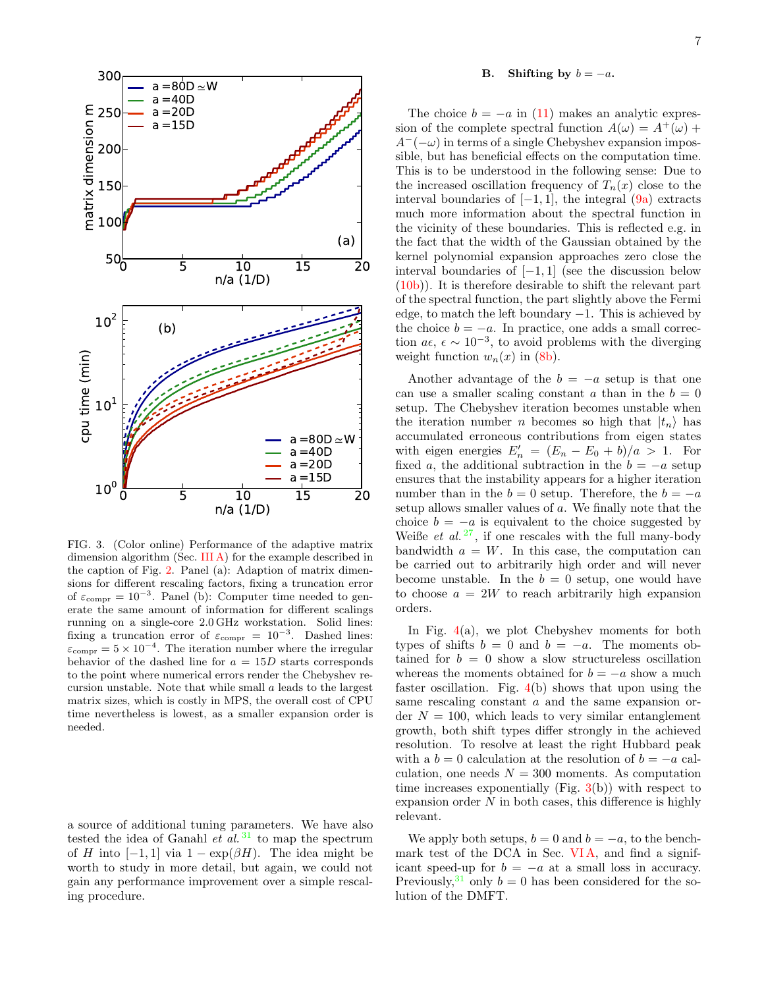

<span id="page-6-0"></span>FIG. 3. (Color online) Performance of the adaptive matrix dimension algorithm (Sec. [III A\)](#page-3-2) for the example described in the caption of Fig. [2.](#page-5-1) Panel (a): Adaption of matrix dimensions for different rescaling factors, fixing a truncation error of  $\varepsilon_{\text{compr}} = 10^{-3}$ . Panel (b): Computer time needed to generate the same amount of information for different scalings running on a single-core 2.0 GHz workstation. Solid lines: fixing a truncation error of  $\varepsilon_{\text{compr}} = 10^{-3}$ . Dashed lines:  $\varepsilon_{\text{compr}} = 5 \times 10^{-4}$ . The iteration number where the irregular behavior of the dashed line for  $a = 15D$  starts corresponds to the point where numerical errors render the Chebyshev recursion unstable. Note that while small a leads to the largest matrix sizes, which is costly in MPS, the overall cost of CPU time nevertheless is lowest, as a smaller expansion order is needed.

a source of additional tuning parameters. We have also tested the idea of Ganahl et al.<sup>[31](#page-18-22)</sup> to map the spectrum of H into  $[-1, 1]$  via  $1 - \exp(\beta H)$ . The idea might be worth to study in more detail, but again, we could not gain any performance improvement over a simple rescaling procedure.

## <span id="page-6-1"></span>B. Shifting by  $b = -a$ .

The choice  $b = -a$  in [\(11\)](#page-2-3) makes an analytic expression of the complete spectral function  $A(\omega) = A^+(\omega) +$  $A^{-}(-\omega)$  in terms of a single Chebyshev expansion impossible, but has beneficial effects on the computation time. This is to be understood in the following sense: Due to the increased oscillation frequency of  $T_n(x)$  close to the interval boundaries of  $[-1, 1]$ , the integral  $(9a)$  extracts much more information about the spectral function in the vicinity of these boundaries. This is reflected e.g. in the fact that the width of the Gaussian obtained by the kernel polynomial expansion approaches zero close the interval boundaries of  $[-1, 1]$  (see the discussion below [\(10b\)](#page-2-4)). It is therefore desirable to shift the relevant part of the spectral function, the part slightly above the Fermi edge, to match the left boundary  $-1$ . This is achieved by the choice  $b = -a$ . In practice, one adds a small correction  $a\epsilon$ ,  $\epsilon \sim 10^{-3}$ , to avoid problems with the diverging weight function  $w_n(x)$  in [\(8b\)](#page-1-7).

Another advantage of the  $b = -a$  setup is that one can use a smaller scaling constant a than in the  $b = 0$ setup. The Chebyshev iteration becomes unstable when the iteration number *n* becomes so high that  $|t_n\rangle$  has accumulated erroneous contributions from eigen states with eigen energies  $E'_n = (E_n - E_0 + b)/a > 1$ . For fixed a, the additional subtraction in the  $b = -a$  setup ensures that the instability appears for a higher iteration number than in the  $b = 0$  setup. Therefore, the  $b = -a$ setup allows smaller values of a. We finally note that the choice  $b = -a$  is equivalent to the choice suggested by Weiße et al.  $27$ , if one rescales with the full many-body bandwidth  $a = W$ . In this case, the computation can be carried out to arbitrarily high order and will never become unstable. In the  $b = 0$  setup, one would have to choose  $a = 2W$  to reach arbitrarily high expansion orders.

In Fig.  $4(a)$  $4(a)$ , we plot Chebyshev moments for both types of shifts  $b = 0$  and  $b = -a$ . The moments obtained for  $b = 0$  show a slow structureless oscillation whereas the moments obtained for  $b = -a$  show a much faster oscillation. Fig.  $4(b)$  $4(b)$  shows that upon using the same rescaling constant a and the same expansion order  $N = 100$ , which leads to very similar entanglement growth, both shift types differ strongly in the achieved resolution. To resolve at least the right Hubbard peak with a  $b = 0$  calculation at the resolution of  $b = -a$  calculation, one needs  $N = 300$  moments. As computation time increases exponentially (Fig.  $3(b)$  $3(b)$ ) with respect to expansion order  $N$  in both cases, this difference is highly relevant.

We apply both setups,  $b = 0$  and  $b = -a$ , to the benchmark test of the DCA in Sec. VIA, and find a significant speed-up for  $b = -a$  at a small loss in accuracy. Previously,<sup>[31](#page-18-22)</sup> only  $b = 0$  has been considered for the solution of the DMFT.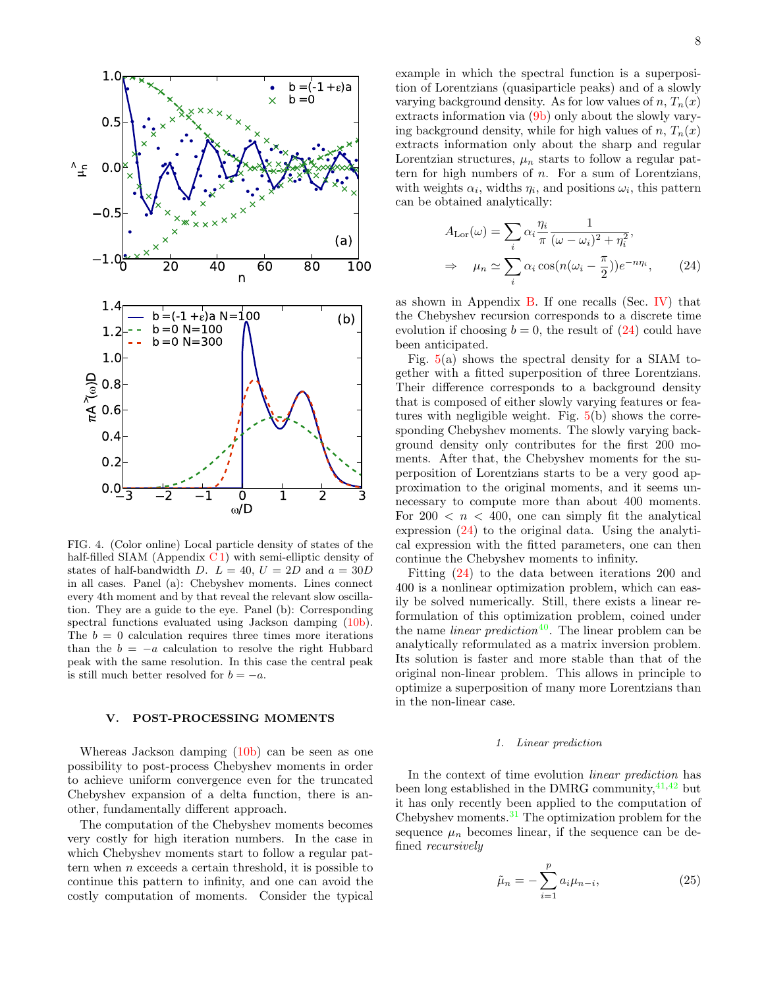

<span id="page-7-1"></span>FIG. 4. (Color online) Local particle density of states of the half-filled SIAM (Appendix  $C_1$ ) with semi-elliptic density of states of half-bandwidth D.  $L = 40$ ,  $U = 2D$  and  $a = 30D$ in all cases. Panel (a): Chebyshev moments. Lines connect every 4th moment and by that reveal the relevant slow oscillation. They are a guide to the eye. Panel (b): Corresponding spectral functions evaluated using Jackson damping [\(10b\)](#page-2-4). The  $b = 0$  calculation requires three times more iterations than the  $b = -a$  calculation to resolve the right Hubbard peak with the same resolution. In this case the central peak is still much better resolved for  $b = -a$ .

## <span id="page-7-0"></span>V. POST-PROCESSING MOMENTS

Whereas Jackson damping [\(10b\)](#page-2-4) can be seen as one possibility to post-process Chebyshev moments in order to achieve uniform convergence even for the truncated Chebyshev expansion of a delta function, there is another, fundamentally different approach.

The computation of the Chebyshev moments becomes very costly for high iteration numbers. In the case in which Chebyshev moments start to follow a regular pattern when  $n$  exceeds a certain threshold, it is possible to continue this pattern to infinity, and one can avoid the costly computation of moments. Consider the typical

example in which the spectral function is a superposition of Lorentzians (quasiparticle peaks) and of a slowly varying background density. As for low values of n,  $T_n(x)$ extracts information via [\(9b\)](#page-1-4) only about the slowly varying background density, while for high values of  $n, T_n(x)$ extracts information only about the sharp and regular Lorentzian structures,  $\mu_n$  starts to follow a regular pattern for high numbers of  $n$ . For a sum of Lorentzians, with weights  $\alpha_i$ , widths  $\eta_i$ , and positions  $\omega_i$ , this pattern can be obtained analytically:

<span id="page-7-2"></span>
$$
A_{\text{Lor}}(\omega) = \sum_{i} \alpha_{i} \frac{\eta_{i}}{\pi} \frac{1}{(\omega - \omega_{i})^{2} + \eta_{i}^{2}},
$$
  

$$
\Rightarrow \mu_{n} \simeq \sum_{i} \alpha_{i} \cos(n(\omega_{i} - \frac{\pi}{2})) e^{-n\eta_{i}}, \qquad (24)
$$

as shown in Appendix  $B$ . If one recalls (Sec. [IV\)](#page-4-0) that the Chebyshev recursion corresponds to a discrete time evolution if choosing  $b = 0$ , the result of  $(24)$  could have been anticipated.

Fig. [5\(](#page-8-0)a) shows the spectral density for a SIAM together with a fitted superposition of three Lorentzians. Their difference corresponds to a background density that is composed of either slowly varying features or features with negligible weight. Fig.  $5(b)$  $5(b)$  shows the corresponding Chebyshev moments. The slowly varying background density only contributes for the first 200 moments. After that, the Chebyshev moments for the superposition of Lorentzians starts to be a very good approximation to the original moments, and it seems unnecessary to compute more than about 400 moments. For  $200 < n < 400$ , one can simply fit the analytical expression [\(24\)](#page-7-2) to the original data. Using the analytical expression with the fitted parameters, one can then continue the Chebyshev moments to infinity.

Fitting [\(24\)](#page-7-2) to the data between iterations 200 and 400 is a nonlinear optimization problem, which can easily be solved numerically. Still, there exists a linear reformulation of this optimization problem, coined under the name *linear prediction*<sup>[40](#page-18-30)</sup>. The linear problem can be analytically reformulated as a matrix inversion problem. Its solution is faster and more stable than that of the original non-linear problem. This allows in principle to optimize a superposition of many more Lorentzians than in the non-linear case.

## <span id="page-7-4"></span>1. Linear prediction

In the context of time evolution linear prediction has been long established in the DMRG community,  $41,42$  $41,42$  but it has only recently been applied to the computation of Chebyshev moments.[31](#page-18-22) The optimization problem for the sequence  $\mu_n$  becomes linear, if the sequence can be defined recursively

<span id="page-7-3"></span>
$$
\tilde{\mu}_n = -\sum_{i=1}^p a_i \mu_{n-i},\tag{25}
$$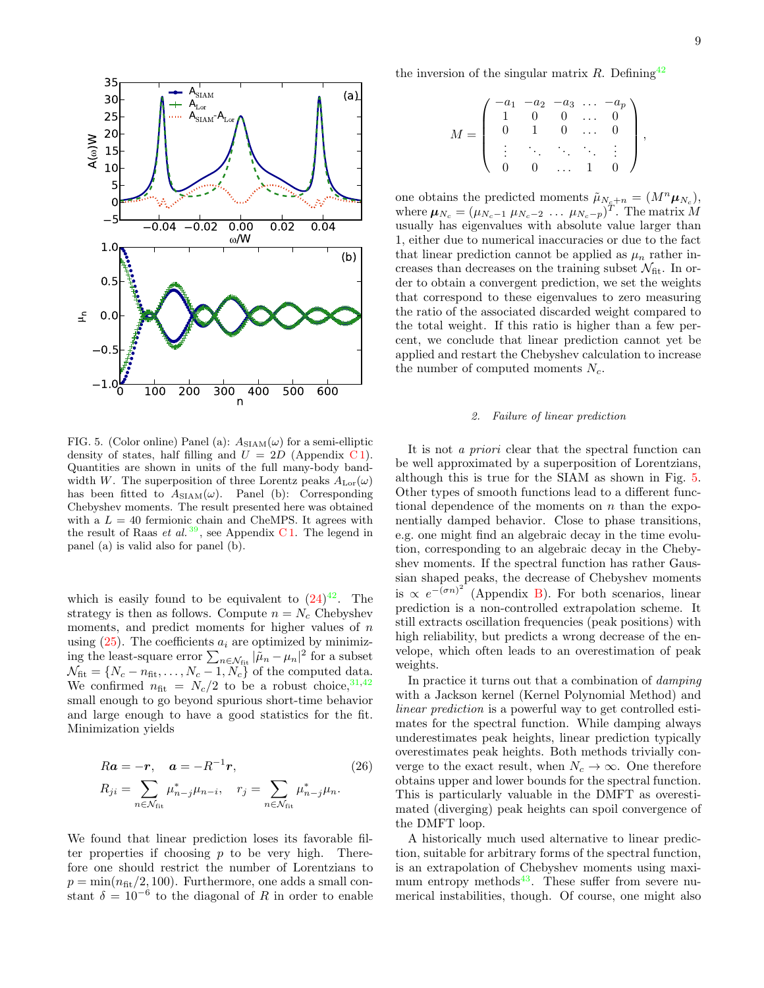

<span id="page-8-0"></span>FIG. 5. (Color online) Panel (a):  $A_{SIAM}(\omega)$  for a semi-elliptic density of states, half filling and  $U = 2D$  (Appendix C1). Quantities are shown in units of the full many-body bandwidth W. The superposition of three Lorentz peaks  $A_{\text{Lor}}(\omega)$ has been fitted to  $A_{SIAM}(\omega)$ . Panel (b): Corresponding Chebyshev moments. The result presented here was obtained with a  $L = 40$  fermionic chain and CheMPS. It agrees with the result of Raas *et al.*<sup>[39](#page-18-33)</sup>, see Appendix C1. The legend in panel (a) is valid also for panel (b).

which is easily found to be equivalent to  $(24)^{42}$  $(24)^{42}$  $(24)^{42}$  $(24)^{42}$ . The strategy is then as follows. Compute  $n = N_c$  Chebyshev moments, and predict moments for higher values of  $n$ using  $(25)$ . The coefficients  $a_i$  are optimized by minimizing the least-square error  $\sum_{n \in \mathcal{N}_{\text{fit}}} |\tilde{\mu}_n - \mu_n|^2$  for a subset  $\mathcal{N}_{\text{fit}} = \{N_c - n_{\text{fit}}, \dots, N_c - 1, N_c\}$  of the computed data. We confirmed  $n_{\text{fit}} = N_c/2$  to be a robust choice, <sup>[31](#page-18-22)[,42](#page-18-32)</sup> small enough to go beyond spurious short-time behavior and large enough to have a good statistics for the fit. Minimization yields

$$
Ra = -r, \quad a = -R^{-1}r,
$$
  
\n
$$
R_{ji} = \sum_{n \in \mathcal{N}_{\text{fit}}} \mu_{n-j}^* \mu_{n-i}, \quad r_j = \sum_{n \in \mathcal{N}_{\text{fit}}} \mu_{n-j}^* \mu_n.
$$
\n(26)

We found that linear prediction loses its favorable filter properties if choosing  $p$  to be very high. Therefore one should restrict the number of Lorentzians to  $p = \min(n_{\text{fit}}/2, 100)$ . Furthermore, one adds a small constant  $\delta = 10^{-6}$  to the diagonal of R in order to enable

the inversion of the singular matrix  $R$ . Defining<sup>[42](#page-18-32)</sup>

$$
M = \left( \begin{array}{cccc} -a_1 & -a_2 & -a_3 & \dots & -a_p \\ 1 & 0 & 0 & \dots & 0 \\ 0 & 1 & 0 & \dots & 0 \\ \vdots & \ddots & \ddots & \ddots & \vdots \\ 0 & 0 & \dots & 1 & 0 \end{array} \right),
$$

one obtains the predicted moments  $\tilde{\mu}_{N_c+n} = (M^n \mu_{N_c}),$ where  $\boldsymbol{\mu}_{N_c} = (\mu_{N_c-1} \ \mu_{N_c-2} \ \dots \ \mu_{N_c-p})^T$ . The matrix M usually has eigenvalues with absolute value larger than 1, either due to numerical inaccuracies or due to the fact that linear prediction cannot be applied as  $\mu_n$  rather increases than decreases on the training subset  $\mathcal{N}_{\text{fit}}$ . In order to obtain a convergent prediction, we set the weights that correspond to these eigenvalues to zero measuring the ratio of the associated discarded weight compared to the total weight. If this ratio is higher than a few percent, we conclude that linear prediction cannot yet be applied and restart the Chebyshev calculation to increase the number of computed moments  $N_c$ .

### 2. Failure of linear prediction

It is not a priori clear that the spectral function can be well approximated by a superposition of Lorentzians, although this is true for the SIAM as shown in Fig. [5.](#page-8-0) Other types of smooth functions lead to a different functional dependence of the moments on  $n$  than the exponentially damped behavior. Close to phase transitions, e.g. one might find an algebraic decay in the time evolution, corresponding to an algebraic decay in the Chebyshev moments. If the spectral function has rather Gaussian shaped peaks, the decrease of Chebyshev moments is  $\propto e^{-(\sigma n)^2}$  (Appendix [B\)](#page-13-2). For both scenarios, linear prediction is a non-controlled extrapolation scheme. It still extracts oscillation frequencies (peak positions) with high reliability, but predicts a wrong decrease of the envelope, which often leads to an overestimation of peak weights.

In practice it turns out that a combination of damping with a Jackson kernel (Kernel Polynomial Method) and linear prediction is a powerful way to get controlled estimates for the spectral function. While damping always underestimates peak heights, linear prediction typically overestimates peak heights. Both methods trivially converge to the exact result, when  $N_c \to \infty$ . One therefore obtains upper and lower bounds for the spectral function. This is particularly valuable in the DMFT as overestimated (diverging) peak heights can spoil convergence of the DMFT loop.

A historically much used alternative to linear prediction, suitable for arbitrary forms of the spectral function, is an extrapolation of Chebyshev moments using maxi-mum entropy methods<sup>[43](#page-18-34)</sup>. These suffer from severe numerical instabilities, though. Of course, one might also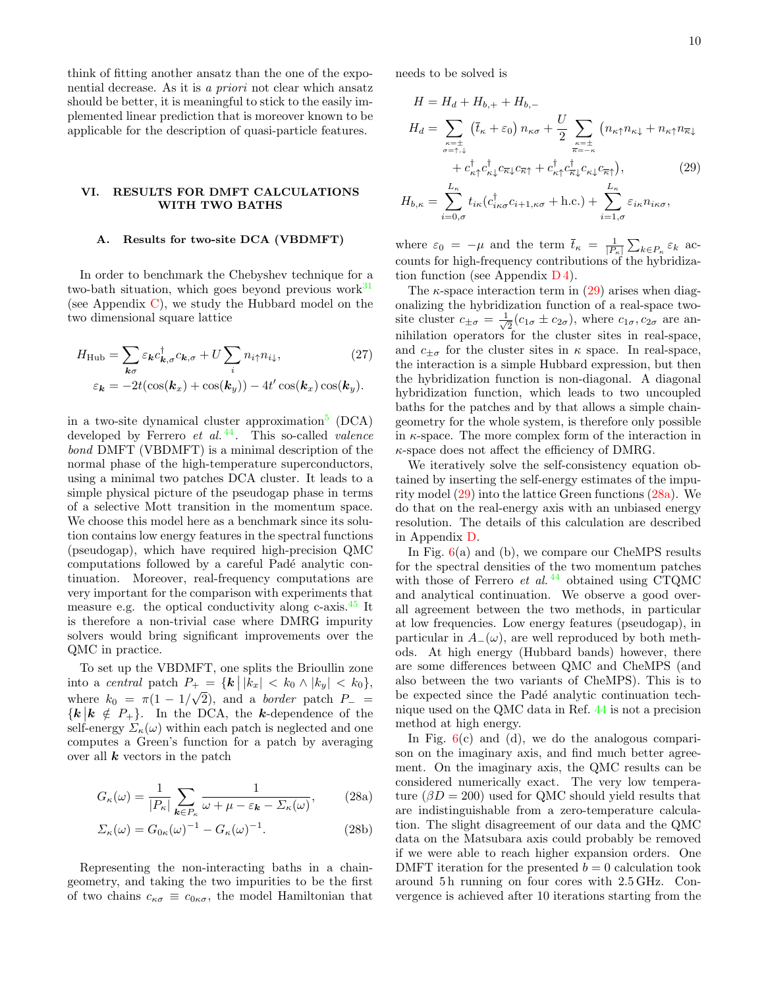think of fitting another ansatz than the one of the exponential decrease. As it is a priori not clear which ansatz should be better, it is meaningful to stick to the easily implemented linear prediction that is moreover known to be applicable for the description of quasi-particle features.

## VI. RESULTS FOR DMFT CALCULATIONS WITH TWO BATHS

## <span id="page-9-0"></span>A. Results for two-site DCA (VBDMFT)

In order to benchmark the Chebyshev technique for a two-bath situation, which goes beyond previous work $31$ (see Appendix [C\)](#page-14-1), we study the Hubbard model on the two dimensional square lattice

$$
H_{\rm Hub} = \sum_{\mathbf{k}\sigma} \varepsilon_{\mathbf{k}} c_{\mathbf{k},\sigma}^{\dagger} c_{\mathbf{k},\sigma} + U \sum_{i} n_{i\uparrow} n_{i\downarrow},
$$
\n
$$
\varepsilon_{\mathbf{k}} = -2t(\cos(\mathbf{k}_x) + \cos(\mathbf{k}_y)) - 4t'\cos(\mathbf{k}_x)\cos(\mathbf{k}_y).
$$
\n(27)

in a two-site dynamical cluster approximation<sup>[5](#page-18-2)</sup> (DCA) developed by Ferrero  $et \ al. \ ^{44}$  $et \ al. \ ^{44}$  $et \ al. \ ^{44}$ . This so-called *valence* bond DMFT (VBDMFT) is a minimal description of the normal phase of the high-temperature superconductors, using a minimal two patches DCA cluster. It leads to a simple physical picture of the pseudogap phase in terms of a selective Mott transition in the momentum space. We choose this model here as a benchmark since its solution contains low energy features in the spectral functions (pseudogap), which have required high-precision QMC computations followed by a careful Padé analytic continuation. Moreover, real-frequency computations are very important for the comparison with experiments that measure e.g. the optical conductivity along c-axis.[45](#page-18-36) It is therefore a non-trivial case where DMRG impurity solvers would bring significant improvements over the QMC in practice.

To set up the VBDMFT, one splits the Brioullin zone into a central patch  $P_+ = \{ k | |k_x| < k_0 \wedge |k_y| < k_0 \},$ where  $k_0 = \pi(1 - 1/\sqrt{2})$ , and a *border* patch  $P_ \{k | k \notin P_+\}$ . In the DCA, the k-dependence of the self-energy  $\Sigma_{\kappa}(\omega)$  within each patch is neglected and one computes a Green's function for a patch by averaging over all  $k$  vectors in the patch

$$
G_{\kappa}(\omega) = \frac{1}{|P_{\kappa}|} \sum_{\mathbf{k} \in P_{\kappa}} \frac{1}{\omega + \mu - \varepsilon_{\mathbf{k}} - \Sigma_{\kappa}(\omega)},
$$
 (28a)

$$
\Sigma_{\kappa}(\omega) = G_{0\kappa}(\omega)^{-1} - G_{\kappa}(\omega)^{-1}.
$$
\n(28b)

Representing the non-interacting baths in a chaingeometry, and taking the two impurities to be the first of two chains  $c_{\kappa\sigma} \equiv c_{0\kappa\sigma}$ , the model Hamiltonian that

needs to be solved is

<span id="page-9-1"></span>
$$
H = H_d + H_{b,+} + H_{b,-}
$$
  
\n
$$
H_d = \sum_{\substack{\kappa = \pm \\ \sigma = \uparrow, \downarrow}} (\bar{t}_{\kappa} + \varepsilon_0) n_{\kappa\sigma} + \frac{U}{2} \sum_{\substack{\kappa = \pm \\ \overline{\kappa} = -\kappa}} (n_{\kappa\uparrow} n_{\kappa\downarrow} + n_{\kappa\uparrow} n_{\overline{\kappa}\downarrow}
$$
  
\n
$$
+ c_{\kappa\uparrow}^{\dagger} c_{\kappa\downarrow}^{\dagger} c_{\kappa\downarrow} c_{\overline{\kappa}\uparrow} + c_{\kappa\uparrow}^{\dagger} c_{\overline{\kappa}\downarrow}^{\dagger} c_{\kappa\downarrow} c_{\overline{\kappa}\uparrow}),
$$
\n
$$
H_{b,\kappa} = \sum_{i=0,\sigma}^{L_{\kappa}} t_{i\kappa} (c_{i\kappa\sigma}^{\dagger} c_{i+1,\kappa\sigma} + \text{h.c.}) + \sum_{i=1,\sigma}^{L_{\kappa}} \varepsilon_{i\kappa} n_{i\kappa\sigma},
$$

where  $\varepsilon_0 = -\mu$  and the term  $\bar{t}_{\kappa} = \frac{1}{|P_{\kappa}|} \sum_{k \in P_{\kappa}} \varepsilon_k$  accounts for high-frequency contributions of the hybridization function (see Appendix  $D_4$ ).

The  $\kappa$ -space interaction term in [\(29\)](#page-9-1) arises when diagonalizing the hybridization function of a real-space twosite cluster  $c_{\pm\sigma} = \frac{1}{\sqrt{2}}$  $\frac{1}{2}(c_{1\sigma} \pm c_{2\sigma})$ , where  $c_{1\sigma}$ ,  $c_{2\sigma}$  are annihilation operators for the cluster sites in real-space, and  $c_{\pm\sigma}$  for the cluster sites in  $\kappa$  space. In real-space, the interaction is a simple Hubbard expression, but then the hybridization function is non-diagonal. A diagonal hybridization function, which leads to two uncoupled baths for the patches and by that allows a simple chaingeometry for the whole system, is therefore only possible in  $\kappa$ -space. The more complex form of the interaction in  $\kappa$ -space does not affect the efficiency of DMRG.

We iteratively solve the self-consistency equation obtained by inserting the self-energy estimates of the impurity model [\(29\)](#page-9-1) into the lattice Green functions [\(28a\)](#page-9-2). We do that on the real-energy axis with an unbiased energy resolution. The details of this calculation are described in Appendix [D.](#page-15-0)

In Fig.  $6(a)$  $6(a)$  and (b), we compare our CheMPS results for the spectral densities of the two momentum patches with those of Ferrero et al.<sup>[44](#page-18-35)</sup> obtained using CTQMC and analytical continuation. We observe a good overall agreement between the two methods, in particular at low frequencies. Low energy features (pseudogap), in particular in  $A_-(\omega)$ , are well reproduced by both methods. At high energy (Hubbard bands) however, there are some differences between QMC and CheMPS (and also between the two variants of CheMPS). This is to be expected since the Padé analytic continuation technique used on the QMC data in Ref. [44](#page-18-35) is not a precision method at high energy.

<span id="page-9-2"></span>In Fig.  $6(c)$  $6(c)$  and (d), we do the analogous comparison on the imaginary axis, and find much better agreement. On the imaginary axis, the QMC results can be considered numerically exact. The very low temperature  $(\beta D = 200)$  used for QMC should yield results that are indistinguishable from a zero-temperature calculation. The slight disagreement of our data and the QMC data on the Matsubara axis could probably be removed if we were able to reach higher expansion orders. One DMFT iteration for the presented  $b = 0$  calculation took around 5 h running on four cores with 2.5 GHz. Convergence is achieved after 10 iterations starting from the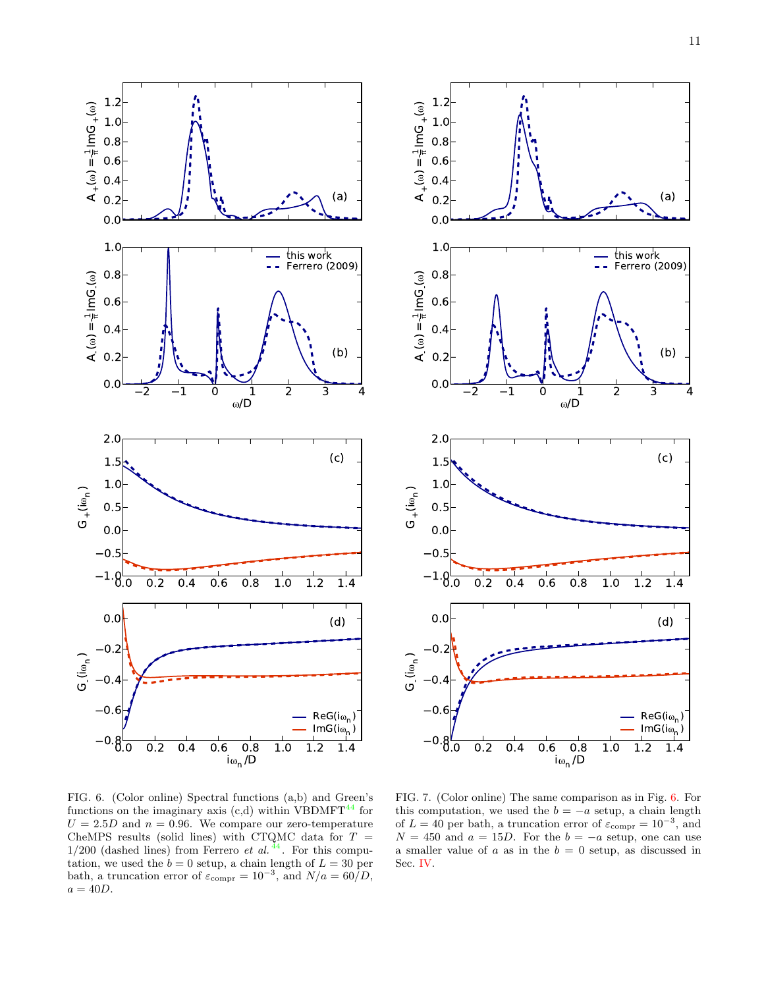



<span id="page-10-0"></span>FIG. 6. (Color online) Spectral functions (a,b) and Green's functions on the imaginary axis  $(c,d)$  within VBDMFT<sup>[44](#page-18-35)</sup> for  $U = 2.5D$  and  $n = 0.96$ . We compare our zero-temperature CheMPS results (solid lines) with CTQMC data for  $T =$  $1/200$  (dashed lines) from Ferrero *et al.*<sup>[44](#page-18-35)</sup>. For this computation, we used the  $b = 0$  setup, a chain length of  $L = 30$  per bath, a truncation error of  $\varepsilon_{\text{compr}} = 10^{-3}$ , and  $N/a = 60/D$ ,  $a = 40D$ .

<span id="page-10-1"></span>FIG. 7. (Color online) The same comparison as in Fig. [6.](#page-10-0) For this computation, we used the  $b = -a$  setup, a chain length of  $L = 40$  per bath, a truncation error of  $\varepsilon_{\text{compr}} = 10^{-3}$ , and  $N = 450$  and  $a = 15D$ . For the  $b = -a$  setup, one can use a smaller value of  $a$  as in the  $b = 0$  setup, as discussed in Sec. [IV.](#page-4-0)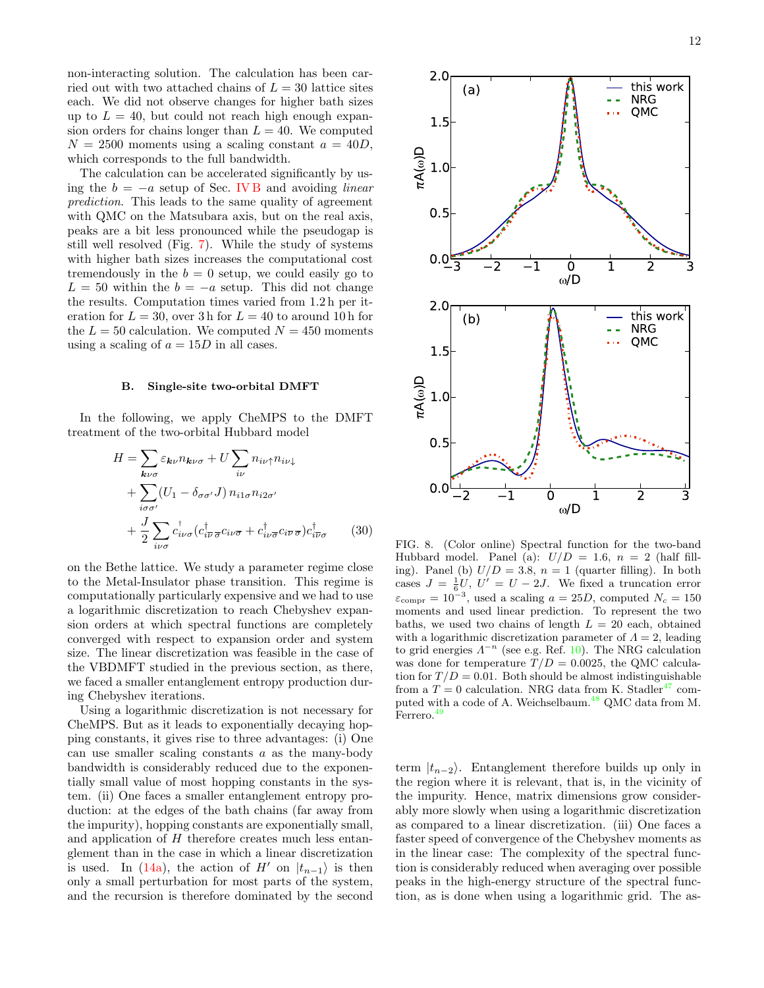non-interacting solution. The calculation has been carried out with two attached chains of  $L = 30$  lattice sites each. We did not observe changes for higher bath sizes up to  $L = 40$ , but could not reach high enough expansion orders for chains longer than  $L = 40$ . We computed  $N = 2500$  moments using a scaling constant  $a = 40D$ , which corresponds to the full bandwidth.

The calculation can be accelerated significantly by using the  $b = -a$  setup of Sec. [IV B](#page-6-1) and avoiding *linear* prediction. This leads to the same quality of agreement with QMC on the Matsubara axis, but on the real axis, peaks are a bit less pronounced while the pseudogap is still well resolved (Fig. [7\)](#page-10-1). While the study of systems with higher bath sizes increases the computational cost tremendously in the  $b = 0$  setup, we could easily go to  $L = 50$  within the  $b = -a$  setup. This did not change the results. Computation times varied from 1.2 h per iteration for  $L = 30$ , over 3 h for  $L = 40$  to around 10 h for the  $L = 50$  calculation. We computed  $N = 450$  moments using a scaling of  $a = 15D$  in all cases.

#### <span id="page-11-0"></span>B. Single-site two-orbital DMFT

In the following, we apply CheMPS to the DMFT treatment of the two-orbital Hubbard model

$$
H = \sum_{\mathbf{k}\nu\sigma} \varepsilon_{\mathbf{k}\nu} n_{\mathbf{k}\nu\sigma} + U \sum_{i\nu} n_{i\nu\uparrow} n_{i\nu\downarrow}
$$
  
+ 
$$
\sum_{i\sigma\sigma'} (U_1 - \delta_{\sigma\sigma'} J) n_{i1\sigma} n_{i2\sigma'}
$$
  
+ 
$$
\frac{J}{2} \sum_{i\nu\sigma} c_{i\nu\sigma}^{\dagger} (c_{i\overline{\nu}\sigma}^{\dagger} c_{i\nu\overline{\sigma}} + c_{i\nu\overline{\sigma}}^{\dagger} c_{i\overline{\nu}\sigma}) c_{i\nu\sigma}^{\dagger}
$$
(30)

on the Bethe lattice. We study a parameter regime close to the Metal-Insulator phase transition. This regime is computationally particularly expensive and we had to use a logarithmic discretization to reach Chebyshev expansion orders at which spectral functions are completely converged with respect to expansion order and system size. The linear discretization was feasible in the case of the VBDMFT studied in the previous section, as there, we faced a smaller entanglement entropy production during Chebyshev iterations.

Using a logarithmic discretization is not necessary for CheMPS. But as it leads to exponentially decaying hopping constants, it gives rise to three advantages: (i) One can use smaller scaling constants  $a$  as the many-body bandwidth is considerably reduced due to the exponentially small value of most hopping constants in the system. (ii) One faces a smaller entanglement entropy production: at the edges of the bath chains (far away from the impurity), hopping constants are exponentially small, and application of H therefore creates much less entanglement than in the case in which a linear discretization is used. In [\(14a\)](#page-2-0), the action of H' on  $|t_{n-1}\rangle$  is then only a small perturbation for most parts of the system, and the recursion is therefore dominated by the second



<span id="page-11-1"></span>FIG. 8. (Color online) Spectral function for the two-band Hubbard model. Panel (a):  $U/D = 1.6$ ,  $n = 2$  (half filling). Panel (b)  $U/D = 3.8$ ,  $n = 1$  (quarter filling). In both cases  $J = \frac{1}{6}U, U' = U - 2J$ . We fixed a truncation error  $\varepsilon_{\text{compr}} = 10^{-3}$ , used a scaling  $a = 25D$ , computed  $N_c = 150$ moments and used linear prediction. To represent the two baths, we used two chains of length  $L = 20$  each, obtained with a logarithmic discretization parameter of  $\Lambda = 2$ , leading to grid energies  $\Lambda^{-n}$  (see e.g. Ref. [10\)](#page-18-5). The NRG calculation was done for temperature  $T/D = 0.0025$ , the QMC calculation for  $T/D = 0.01$ . Both should be almost indistinguishable from a  $T = 0$  calculation. NRG data from K. Stadler<sup>[47](#page-18-37)</sup> com-puted with a code of A. Weichselbaum.<sup>[48](#page-18-38)</sup> QMC data from M. Ferrero.<sup>[49](#page-18-39)</sup>

term  $|t_{n-2}\rangle$ . Entanglement therefore builds up only in the region where it is relevant, that is, in the vicinity of the impurity. Hence, matrix dimensions grow considerably more slowly when using a logarithmic discretization as compared to a linear discretization. (iii) One faces a faster speed of convergence of the Chebyshev moments as in the linear case: The complexity of the spectral function is considerably reduced when averaging over possible peaks in the high-energy structure of the spectral function, as is done when using a logarithmic grid. The as-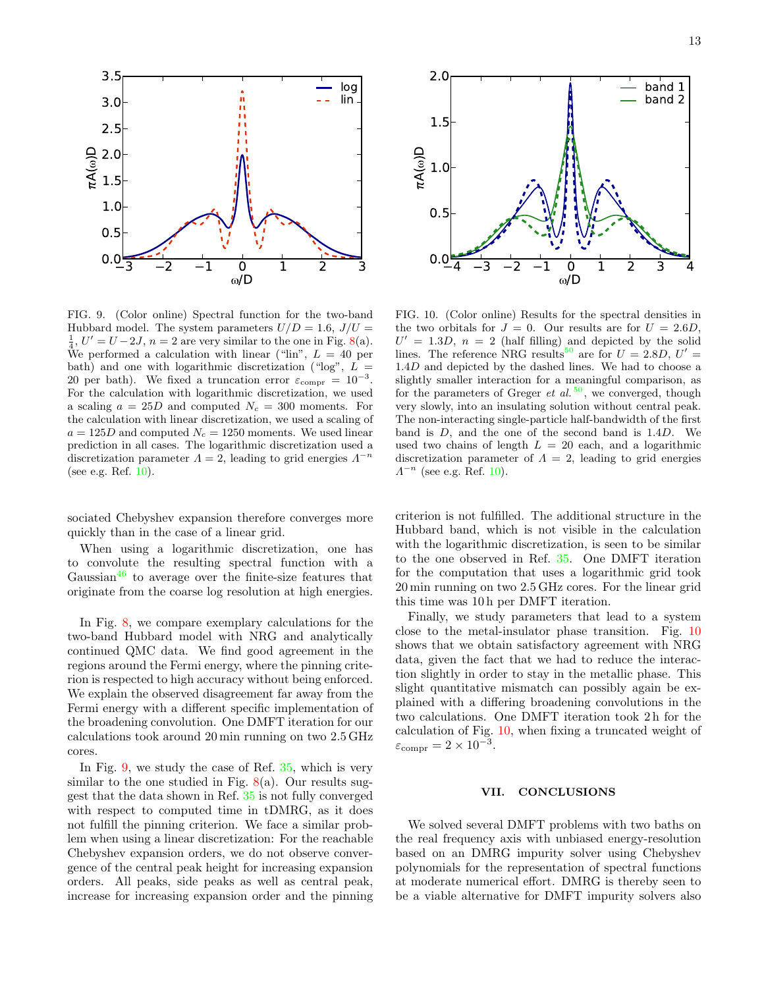

<span id="page-12-1"></span>FIG. 9. (Color online) Spectral function for the two-band Hubbard model. The system parameters  $U/D = 1.6$ ,  $J/U =$  $\frac{1}{4}$ ,  $U' = U - 2J$ ,  $n = 2$  are very similar to the one in Fig. [8\(](#page-11-1)a). We performed a calculation with linear ("lin",  $L = 40$  per bath) and one with logarithmic discretization ("log",  $L =$ 20 per bath). We fixed a truncation error  $\varepsilon_{\text{compr}} = 10^{-3}$ . For the calculation with logarithmic discretization, we used a scaling  $a = 25D$  and computed  $N_c = 300$  moments. For the calculation with linear discretization, we used a scaling of  $a = 125D$  and computed  $N_c = 1250$  moments. We used linear prediction in all cases. The logarithmic discretization used a discretization parameter  $\Lambda = 2$ , leading to grid energies  $\Lambda^{-n}$ (see e.g. Ref. [10\)](#page-18-5).

sociated Chebyshev expansion therefore converges more quickly than in the case of a linear grid.

When using a logarithmic discretization, one has to convolute the resulting spectral function with a Gaussian<sup>[46](#page-18-40)</sup> to average over the finite-size features that originate from the coarse log resolution at high energies.

In Fig. [8,](#page-11-1) we compare exemplary calculations for the two-band Hubbard model with NRG and analytically continued QMC data. We find good agreement in the regions around the Fermi energy, where the pinning criterion is respected to high accuracy without being enforced. We explain the observed disagreement far away from the Fermi energy with a different specific implementation of the broadening convolution. One DMFT iteration for our calculations took around 20 min running on two 2.5 GHz cores.

In Fig. [9,](#page-12-1) we study the case of Ref. [35,](#page-18-25) which is very similar to the one studied in Fig.  $8(a)$  $8(a)$ . Our results suggest that the data shown in Ref. [35](#page-18-25) is not fully converged with respect to computed time in tDMRG, as it does not fulfill the pinning criterion. We face a similar problem when using a linear discretization: For the reachable Chebyshev expansion orders, we do not observe convergence of the central peak height for increasing expansion orders. All peaks, side peaks as well as central peak, increase for increasing expansion order and the pinning



<span id="page-12-2"></span>FIG. 10. (Color online) Results for the spectral densities in the two orbitals for  $J = 0$ . Our results are for  $U = 2.6D$ ,  $U' = 1.3D$ ,  $n = 2$  (half filling) and depicted by the solid lines. The reference NRG results<sup>[50](#page-18-41)</sup> are for  $U = 2.8D, U' =$ 1.4D and depicted by the dashed lines. We had to choose a slightly smaller interaction for a meaningful comparison, as for the parameters of Greger et al.  $50$ , we converged, though very slowly, into an insulating solution without central peak. The non-interacting single-particle half-bandwidth of the first band is  $D$ , and the one of the second band is  $1.4D$ . We used two chains of length  $L = 20$  each, and a logarithmic discretization parameter of  $\Lambda = 2$ , leading to grid energies  $\Lambda^{-n}$  (see e.g. Ref. [10\)](#page-18-5).

criterion is not fulfilled. The additional structure in the Hubbard band, which is not visible in the calculation with the logarithmic discretization, is seen to be similar to the one observed in Ref. [35.](#page-18-25) One DMFT iteration for the computation that uses a logarithmic grid took 20 min running on two 2.5 GHz cores. For the linear grid this time was 10 h per DMFT iteration.

Finally, we study parameters that lead to a system close to the metal-insulator phase transition. Fig. [10](#page-12-2) shows that we obtain satisfactory agreement with NRG data, given the fact that we had to reduce the interaction slightly in order to stay in the metallic phase. This slight quantitative mismatch can possibly again be explained with a differing broadening convolutions in the two calculations. One DMFT iteration took 2 h for the calculation of Fig. [10,](#page-12-2) when fixing a truncated weight of  $\varepsilon_{\text{compr}} = 2 \times 10^{-3}$ .

### <span id="page-12-0"></span>VII. CONCLUSIONS

We solved several DMFT problems with two baths on the real frequency axis with unbiased energy-resolution based on an DMRG impurity solver using Chebyshev polynomials for the representation of spectral functions at moderate numerical effort. DMRG is thereby seen to be a viable alternative for DMFT impurity solvers also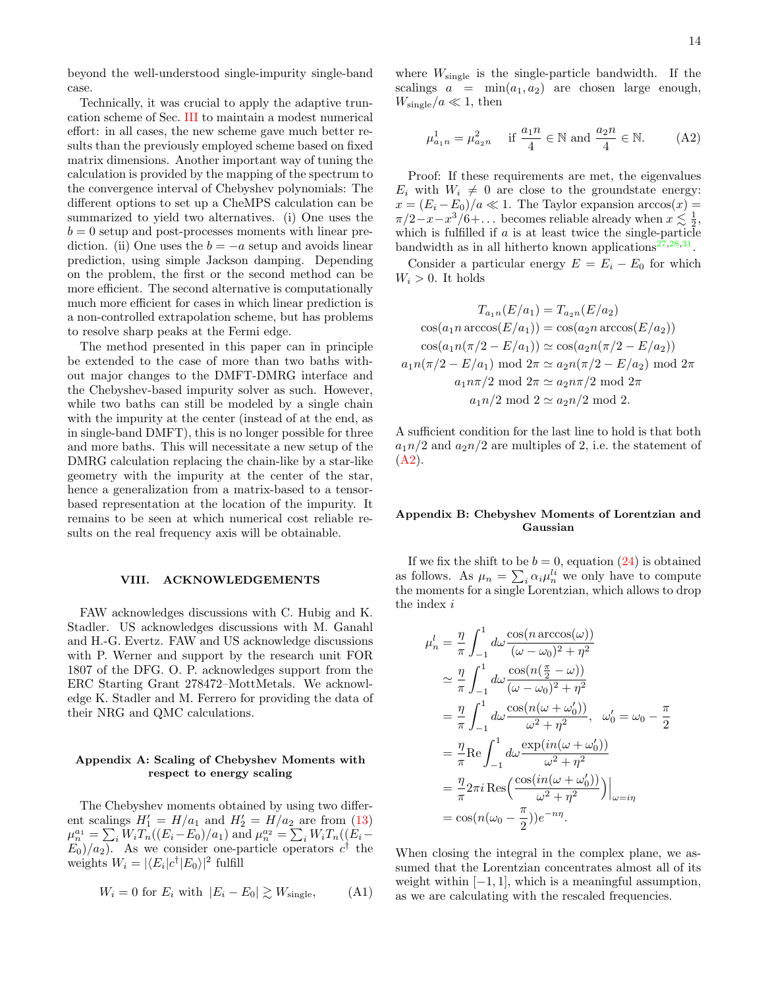beyond the well-understood single-impurity single-band case.

Technically, it was crucial to apply the adaptive truncation scheme of Sec. [III](#page-3-0) to maintain a modest numerical effort: in all cases, the new scheme gave much better results than the previously employed scheme based on fixed matrix dimensions. Another important way of tuning the calculation is provided by the mapping of the spectrum to the convergence interval of Chebyshev polynomials: The different options to set up a CheMPS calculation can be summarized to yield two alternatives. (i) One uses the  $b = 0$  setup and post-processes moments with linear prediction. (ii) One uses the  $b = -a$  setup and avoids linear prediction, using simple Jackson damping. Depending on the problem, the first or the second method can be more efficient. The second alternative is computationally much more efficient for cases in which linear prediction is a non-controlled extrapolation scheme, but has problems to resolve sharp peaks at the Fermi edge.

The method presented in this paper can in principle be extended to the case of more than two baths without major changes to the DMFT-DMRG interface and the Chebyshev-based impurity solver as such. However, while two baths can still be modeled by a single chain with the impurity at the center (instead of at the end, as in single-band DMFT), this is no longer possible for three and more baths. This will necessitate a new setup of the DMRG calculation replacing the chain-like by a star-like geometry with the impurity at the center of the star, hence a generalization from a matrix-based to a tensorbased representation at the location of the impurity. It remains to be seen at which numerical cost reliable results on the real frequency axis will be obtainable.

## VIII. ACKNOWLEDGEMENTS

FAW acknowledges discussions with C. Hubig and K. Stadler. US acknowledges discussions with M. Ganahl and H.-G. Evertz. FAW and US acknowledge discussions with P. Werner and support by the research unit FOR 1807 of the DFG. O. P. acknowledges support from the ERC Starting Grant 278472–MottMetals. We acknowledge K. Stadler and M. Ferrero for providing the data of their NRG and QMC calculations.

## <span id="page-13-1"></span>Appendix A: Scaling of Chebyshev Moments with respect to energy scaling

The Chebyshev moments obtained by using two different scalings  $H_1' = H/a_1$  and  $H_2' = H/a_2$  are from [\(13\)](#page-2-5)  $\mu_n^{a_1} = \sum_i W_i T_n((E_i - E_0)/a_1)$  and  $\mu_n^{a_2} = \sum_i W_i T_n((E_i - E_0)/a_1)$  $E_0/a_2$ . As we consider one-particle operators  $c^{\dagger}$  the weights  $W_i = |\langle E_i | c^\dagger | E_0 \rangle|^2$  fulfill

$$
W_i = 0 \text{ for } E_i \text{ with } |E_i - E_0| \gtrsim W_{\text{single}}, \qquad \text{(A1)}
$$

where  $W_{\text{single}}$  is the single-particle bandwidth. If the scalings  $a = \min(a_1, a_2)$  are chosen large enough,  $W_{\rm single}/a \ll 1$ , then

<span id="page-13-0"></span>
$$
\mu_{a_1 n}^1 = \mu_{a_2 n}^2 \quad \text{if } \frac{a_1 n}{4} \in \mathbb{N} \text{ and } \frac{a_2 n}{4} \in \mathbb{N}. \tag{A2}
$$

Proof: If these requirements are met, the eigenvalues  $E_i$  with  $W_i \neq 0$  are close to the groundstate energy:  $x = (E_i - E_0)/a \ll 1$ . The Taylor expansion  $arccos(x) =$  $\pi/2 - x - x^3/6 + \dots$  becomes reliable already when  $x \lesssim \frac{1}{2}$ , which is fulfilled if  $a$  is at least twice the single-particle bandwidth as in all hitherto known applications<sup>[27,](#page-18-20)[28,](#page-18-21)[31](#page-18-22)</sup>.

Consider a particular energy  $E = E_i - E_0$  for which  $W_i > 0$ . It holds

$$
T_{a_1n}(E/a_1) = T_{a_2n}(E/a_2)
$$

$$
\cos(a_1 n \arccos(E/a_1)) = \cos(a_2 n \arccos(E/a_2))
$$

$$
\cos(a_1 n(\pi/2 - E/a_1)) \simeq \cos(a_2 n(\pi/2 - E/a_2))
$$

$$
a_1 n(\pi/2 - E/a_1) \mod 2\pi \simeq a_2 n(\pi/2 - E/a_2) \mod 2\pi
$$

$$
a_1 n\pi/2 \mod 2\pi \simeq a_2 n\pi/2 \mod 2\pi
$$

$$
a_1 n/2 \mod 2 \simeq a_2 n/2 \mod 2.
$$

A sufficient condition for the last line to hold is that both  $a_1n/2$  and  $a_2n/2$  are multiples of 2, i.e. the statement of  $(A2).$  $(A2).$ 

## <span id="page-13-2"></span>Appendix B: Chebyshev Moments of Lorentzian and Gaussian

If we fix the shift to be  $b = 0$ , equation [\(24\)](#page-7-2) is obtained as follows. As  $\mu_n = \sum_i \alpha_i \mu_n^{li}$  we only have to compute the moments for a single Lorentzian, which allows to drop the index  $i$ 

$$
\mu_n^l = \frac{\eta}{\pi} \int_{-1}^1 d\omega \frac{\cos(n \arccos(\omega))}{(\omega - \omega_0)^2 + \eta^2}
$$
  
\n
$$
\approx \frac{\eta}{\pi} \int_{-1}^1 d\omega \frac{\cos(n(\frac{\pi}{2} - \omega))}{(\omega - \omega_0)^2 + \eta^2}
$$
  
\n
$$
= \frac{\eta}{\pi} \int_{-1}^1 d\omega \frac{\cos(n(\omega + \omega'_0))}{\omega^2 + \eta^2}, \quad \omega'_0 = \omega_0 - \frac{\pi}{2}
$$
  
\n
$$
= \frac{\eta}{\pi} \text{Re} \int_{-1}^1 d\omega \frac{\exp(in(\omega + \omega'_0))}{\omega^2 + \eta^2}
$$
  
\n
$$
= \frac{\eta}{\pi} 2\pi i \text{Res} \Big( \frac{\cos(in(\omega + \omega'_0))}{\omega^2 + \eta^2} \Big) \Big|_{\omega = i\eta}
$$
  
\n
$$
= \cos(n(\omega_0 - \frac{\pi}{2}))e^{-n\eta}.
$$

When closing the integral in the complex plane, we assumed that the Lorentzian concentrates almost all of its weight within  $[-1, 1]$ , which is a meaningful assumption, as we are calculating with the rescaled frequencies.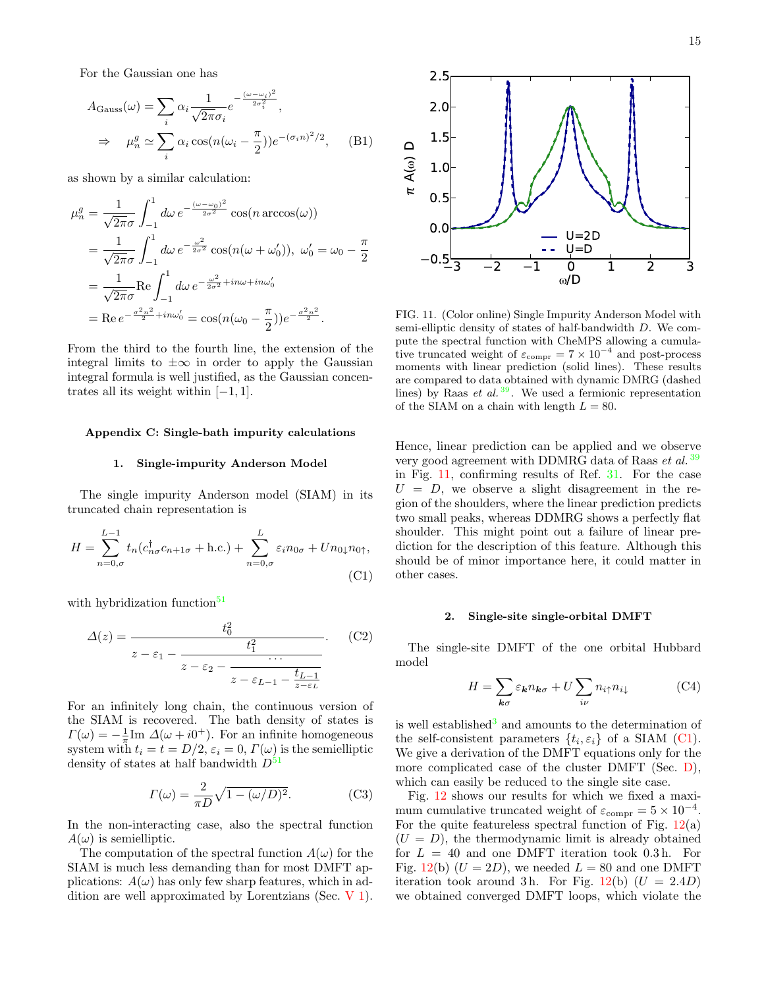For the Gaussian one has

$$
A_{\text{Gauss}}(\omega) = \sum_{i} \alpha_{i} \frac{1}{\sqrt{2\pi}\sigma_{i}} e^{-\frac{(\omega - \omega_{i})^{2}}{2\sigma_{i}^{2}}},
$$
  
\n
$$
\Rightarrow \mu_{n}^{g} \simeq \sum_{i} \alpha_{i} \cos(n(\omega_{i} - \frac{\pi}{2})) e^{-(\sigma_{i}n)^{2}/2}, \quad \text{(B1)}
$$

as shown by a similar calculation:

$$
\mu_n^g = \frac{1}{\sqrt{2\pi}\sigma} \int_{-1}^1 d\omega \, e^{-\frac{(\omega - \omega_0)^2}{2\sigma^2}} \cos(n \arccos(\omega))
$$
  
=  $\frac{1}{\sqrt{2\pi}\sigma} \int_{-1}^1 d\omega \, e^{-\frac{\omega^2}{2\sigma^2}} \cos(n(\omega + \omega'_0)), \ \omega'_0 = \omega_0 - \frac{\pi}{2}$   
=  $\frac{1}{\sqrt{2\pi}\sigma} \text{Re} \int_{-1}^1 d\omega \, e^{-\frac{\omega^2}{2\sigma^2} + in\omega + in\omega'_0}$   
= Re  $e^{-\frac{\sigma^2 n^2}{2} + in\omega'_0} = \cos(n(\omega_0 - \frac{\pi}{2})) e^{-\frac{\sigma^2 n^2}{2}}.$ 

From the third to the fourth line, the extension of the integral limits to  $\pm\infty$  in order to apply the Gaussian integral formula is well justified, as the Gaussian concentrates all its weight within  $[-1, 1]$ .

## <span id="page-14-1"></span>Appendix C: Single-bath impurity calculations

#### <span id="page-14-0"></span>1. Single-impurity Anderson Model

The single impurity Anderson model (SIAM) in its truncated chain representation is

$$
H = \sum_{n=0,\sigma}^{L-1} t_n (c_{n\sigma}^\dagger c_{n+1\sigma} + \text{h.c.}) + \sum_{n=0,\sigma}^{L} \varepsilon_i n_{0\sigma} + U n_{0\downarrow} n_{0\uparrow},
$$
\n(C1)

with hybridization function $51$ 

$$
\Delta(z) = \frac{t_0^2}{z - \varepsilon_1 - \frac{t_1^2}{z - \varepsilon_2 - \frac{\cdots}{z - \varepsilon_{L-1}}}}.\tag{C2}
$$

For an infinitely long chain, the continuous version of the SIAM is recovered. The bath density of states is  $\Gamma(\omega) = -\frac{1}{\pi} \text{Im } \Delta(\omega + i0^+)$ . For an infinite homogeneous system with  $t_i = t = D/2$ ,  $\varepsilon_i = 0$ ,  $\Gamma(\omega)$  is the semielliptic density of states at half bandwidth  $D^{51}$  $D^{51}$  $D^{51}$ 

$$
\Gamma(\omega) = \frac{2}{\pi D} \sqrt{1 - (\omega/D)^2}.
$$
 (C3)

In the non-interacting case, also the spectral function  $A(\omega)$  is semielliptic.

The computation of the spectral function  $A(\omega)$  for the SIAM is much less demanding than for most DMFT applications:  $A(\omega)$  has only few sharp features, which in addition are well approximated by Lorentzians (Sec. [V 1\)](#page-7-4).



<span id="page-14-2"></span>FIG. 11. (Color online) Single Impurity Anderson Model with semi-elliptic density of states of half-bandwidth D. We compute the spectral function with CheMPS allowing a cumulative truncated weight of  $\varepsilon_{\text{compr}} = 7 \times 10^{-4}$  and post-process moments with linear prediction (solid lines). These results are compared to data obtained with dynamic DMRG (dashed lines) by Raas *et al.*  $39$ . We used a fermionic representation of the SIAM on a chain with length  $L = 80$ .

Hence, linear prediction can be applied and we observe very good agreement with DDMRG data of Raas et al.<sup>[39](#page-18-33)</sup> in Fig. [11,](#page-14-2) confirming results of Ref. [31.](#page-18-22) For the case  $U = D$ , we observe a slight disagreement in the region of the shoulders, where the linear prediction predicts two small peaks, whereas DDMRG shows a perfectly flat shoulder. This might point out a failure of linear prediction for the description of this feature. Although this should be of minor importance here, it could matter in other cases.

## 2. Single-site single-orbital DMFT

<span id="page-14-3"></span>The single-site DMFT of the one orbital Hubbard model

$$
H = \sum_{\mathbf{k}\sigma} \varepsilon_{\mathbf{k}} n_{\mathbf{k}\sigma} + U \sum_{i\nu} n_{i\uparrow} n_{i\downarrow}
$$
 (C4)

is well established<sup>[3](#page-18-42)</sup> and amounts to the determination of the self-consistent parameters  $\{t_i, \varepsilon_i\}$  of a SIAM [\(C1\)](#page-14-3). We give a derivation of the DMFT equations only for the more complicated case of the cluster DMFT (Sec. [D\)](#page-15-0), which can easily be reduced to the single site case.

Fig. [12](#page-15-1) shows our results for which we fixed a maximum cumulative truncated weight of  $\varepsilon_{\text{compr}} = 5 \times 10^{-4}$ . For the quite featureless spectral function of Fig.  $12(a)$  $12(a)$  $(U = D)$ , the thermodynamic limit is already obtained for  $L = 40$  and one DMFT iteration took 0.3h. For Fig. [12\(](#page-15-1)b)  $(U = 2D)$ , we needed  $L = 80$  and one DMFT iteration took around 3h. For Fig.  $12(b)$  $12(b)$  ( $U = 2.4D$ ) we obtained converged DMFT loops, which violate the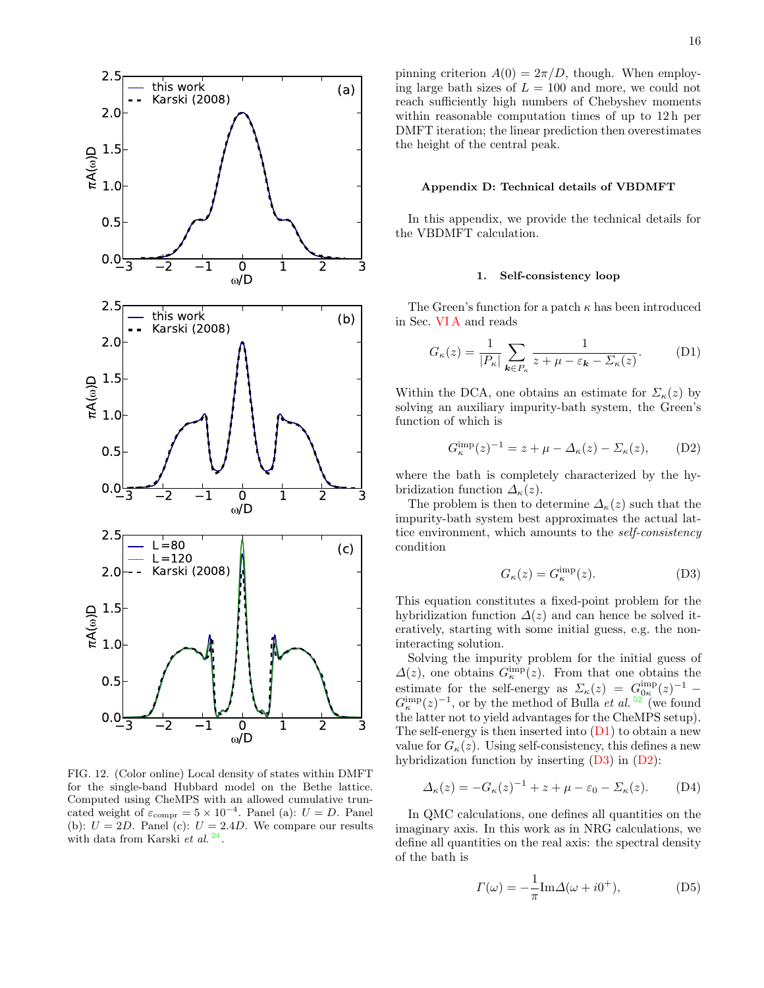

<span id="page-15-1"></span>FIG. 12. (Color online) Local density of states within DMFT for the single-band Hubbard model on the Bethe lattice. Computed using CheMPS with an allowed cumulative truncated weight of  $\varepsilon_{\text{compr}} = 5 \times 10^{-4}$ . Panel (a):  $U = D$ . Panel (b):  $U = 2D$ . Panel (c):  $U = 2.4D$ . We compare our results with data from Karski et  $al.$ <sup>[24](#page-18-18)</sup>.

pinning criterion  $A(0) = 2\pi/D$ , though. When employing large bath sizes of  $L = 100$  and more, we could not reach sufficiently high numbers of Chebyshev moments within reasonable computation times of up to 12 h per DMFT iteration; the linear prediction then overestimates the height of the central peak.

#### <span id="page-15-0"></span>Appendix D: Technical details of VBDMFT

In this appendix, we provide the technical details for the VBDMFT calculation.

### <span id="page-15-2"></span>1. Self-consistency loop

The Green's function for a patch  $\kappa$  has been introduced in Sec. [VI A](#page-9-0) and reads

$$
G_{\kappa}(z) = \frac{1}{|P_{\kappa}|} \sum_{\mathbf{k} \in P_{\kappa}} \frac{1}{z + \mu - \varepsilon_{\mathbf{k}} - \Sigma_{\kappa}(z)}.
$$
 (D1)

Within the DCA, one obtains an estimate for  $\Sigma_{\kappa}(z)$  by solving an auxiliary impurity-bath system, the Green's function of which is

$$
G_{\kappa}^{\text{imp}}(z)^{-1} = z + \mu - \Delta_{\kappa}(z) - \Sigma_{\kappa}(z), \quad (D2)
$$

where the bath is completely characterized by the hybridization function  $\Delta_{\kappa}(z)$ .

The problem is then to determine  $\Delta_{\kappa}(z)$  such that the impurity-bath system best approximates the actual lattice environment, which amounts to the self-consistency condition

<span id="page-15-4"></span><span id="page-15-3"></span>
$$
G_{\kappa}(z) = G_{\kappa}^{\text{imp}}(z). \tag{D3}
$$

This equation constitutes a fixed-point problem for the hybridization function  $\Delta(z)$  and can hence be solved iteratively, starting with some initial guess, e.g. the noninteracting solution.

Solving the impurity problem for the initial guess of  $\Delta(z)$ , one obtains  $G_{\kappa}^{\text{imp}}(z)$ . From that one obtains the estimate for the self-energy as  $\Sigma_{\kappa}(z) = G_{0\kappa}^{\text{imp}}(z)^{-1}$  –  $G_{\kappa}^{\text{imp}}(z)^{-1}$ , or by the method of Bulla *et al.* <sup>[52](#page-19-1)</sup> (we found the latter not to yield advantages for the CheMPS setup). The self-energy is then inserted into [\(D1\)](#page-15-2) to obtain a new value for  $G_{\kappa}(z)$ . Using self-consistency, this defines a new hybridization function by inserting [\(D3\)](#page-15-3) in [\(D2\)](#page-15-4):

$$
\Delta_{\kappa}(z) = -G_{\kappa}(z)^{-1} + z + \mu - \varepsilon_0 - \Sigma_{\kappa}(z). \tag{D4}
$$

In QMC calculations, one defines all quantities on the imaginary axis. In this work as in NRG calculations, we define all quantities on the real axis: the spectral density of the bath is

<span id="page-15-6"></span><span id="page-15-5"></span>
$$
\Gamma(\omega) = -\frac{1}{\pi} \text{Im} \Delta(\omega + i0^+),\tag{D5}
$$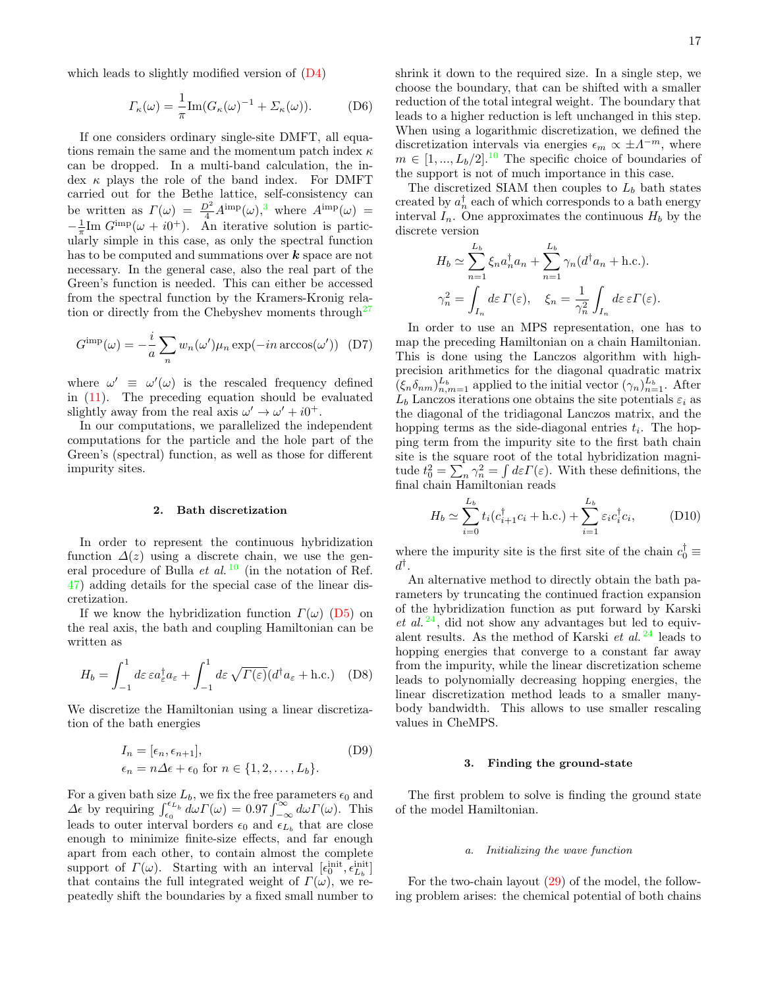which leads to slightly modified version of [\(D4\)](#page-15-5)

$$
\Gamma_{\kappa}(\omega) = \frac{1}{\pi} \text{Im}(G_{\kappa}(\omega)^{-1} + \Sigma_{\kappa}(\omega)).
$$
 (D6)

If one considers ordinary single-site DMFT, all equations remain the same and the momentum patch index  $\kappa$ can be dropped. In a multi-band calculation, the index  $\kappa$  plays the role of the band index. For DMFT carried out for the Bethe lattice, self-consistency can be written as  $\Gamma(\omega) = \frac{D^2}{4} A^{imp}(\omega)$ ,<sup>[3](#page-18-42)</sup> where  $A^{imp}(\omega)$  =  $-\frac{1}{\pi} \text{Im } G^{\text{imp}}(\omega + i0^{+})$ . An iterative solution is particularly simple in this case, as only the spectral function has to be computed and summations over  $k$  space are not necessary. In the general case, also the real part of the Green's function is needed. This can either be accessed from the spectral function by the Kramers-Kronig relation or directly from the Chebyshev moments through  $27$ 

$$
G^{\text{imp}}(\omega) = -\frac{i}{a} \sum_{n} w_n(\omega') \mu_n \exp(-in \arccos(\omega')) \quad (D7)
$$

where  $\omega' \equiv \omega'(\omega)$  is the rescaled frequency defined in  $(11)$ . The preceding equation should be evaluated slightly away from the real axis  $\omega' \rightarrow \omega' + i0^+$ .

In our computations, we parallelized the independent computations for the particle and the hole part of the Green's (spectral) function, as well as those for different impurity sites.

### 2. Bath discretization

In order to represent the continuous hybridization function  $\Delta(z)$  using a discrete chain, we use the general procedure of Bulla *et al.* <sup>[10](#page-18-5)</sup> (in the notation of Ref. [47\)](#page-18-37) adding details for the special case of the linear discretization.

If we know the hybridization function  $\Gamma(\omega)$  [\(D5\)](#page-15-6) on the real axis, the bath and coupling Hamiltonian can be written as

$$
H_b = \int_{-1}^1 d\varepsilon \,\varepsilon a_\varepsilon^\dagger a_\varepsilon + \int_{-1}^1 d\varepsilon \,\sqrt{\varGamma(\varepsilon)} (d^\dagger a_\varepsilon + \text{h.c.}) \quad (D8)
$$

We discretize the Hamiltonian using a linear discretization of the bath energies

$$
I_n = [\epsilon_n, \epsilon_{n+1}],
$$
 (D9)  

$$
\epsilon_n = n\Delta\epsilon + \epsilon_0 \text{ for } n \in \{1, 2, \dots, L_b\}.
$$

For a given bath size  $L_b$ , we fix the free parameters  $\epsilon_0$  and  $\Delta \epsilon$  by requiring  $\int_{\epsilon_0}^{\epsilon_L} d\omega \Gamma(\omega) = 0.97 \int_{-\infty}^{\infty} d\omega \Gamma(\omega)$ . This leads to outer interval borders  $\epsilon_0$  and  $\epsilon_{L_b}$  that are close enough to minimize finite-size effects, and far enough apart from each other, to contain almost the complete support of  $\Gamma(\omega)$ . Starting with an interval  $[\epsilon_0^{\text{init}}, \epsilon_{L_b}^{\text{init}}]$ that contains the full integrated weight of  $\Gamma(\omega)$ , we repeatedly shift the boundaries by a fixed small number to shrink it down to the required size. In a single step, we choose the boundary, that can be shifted with a smaller reduction of the total integral weight. The boundary that leads to a higher reduction is left unchanged in this step. When using a logarithmic discretization, we defined the discretization intervals via energies  $\epsilon_m \propto \pm \Lambda^{-m}$ , where  $m \in [1, ..., L_b/2]$ .<sup>[10](#page-18-5)</sup> The specific choice of boundaries of the support is not of much importance in this case.

The discretized SIAM then couples to  $L<sub>b</sub>$  bath states created by  $a_n^{\dagger}$  each of which corresponds to a bath energy interval  $I_n$ . One approximates the continuous  $H_b$  by the discrete version

$$
H_b \simeq \sum_{n=1}^{L_b} \xi_n a_n^{\dagger} a_n + \sum_{n=1}^{L_b} \gamma_n (d^{\dagger} a_n + \text{h.c.}).
$$
  

$$
\gamma_n^2 = \int_{I_n} d\varepsilon \, \Gamma(\varepsilon), \quad \xi_n = \frac{1}{\gamma_n^2} \int_{I_n} d\varepsilon \, \varepsilon \Gamma(\varepsilon).
$$

In order to use an MPS representation, one has to map the preceding Hamiltonian on a chain Hamiltonian. This is done using the Lanczos algorithm with highprecision arithmetics for the diagonal quadratic matrix  $(\xi_n \delta_{nm})_{n,m=1}^{L_b}$  applied to the initial vector  $(\gamma_n)_{n=1}^{L_b}$ . After  $L_b$  Lanczos iterations one obtains the site potentials  $\varepsilon_i$  as the diagonal of the tridiagonal Lanczos matrix, and the hopping terms as the side-diagonal entries  $t_i$ . The hopping term from the impurity site to the first bath chain site is the square root of the total hybridization magnitude  $t_0^2 = \sum_n \gamma_n^2 = \int d\varepsilon \Gamma(\varepsilon)$ . With these definitions, the final chain Hamiltonian reads

$$
H_b \simeq \sum_{i=0}^{L_b} t_i (c_{i+1}^\dagger c_i + \text{h.c.}) + \sum_{i=1}^{L_b} \varepsilon_i c_i^\dagger c_i, \tag{D10}
$$

where the impurity site is the first site of the chain  $c_0^{\dagger} \equiv$  $d^{\dagger}$ .

An alternative method to directly obtain the bath parameters by truncating the continued fraction expansion of the hybridization function as put forward by Karski et al.  $^{24}$  $^{24}$  $^{24}$ , did not show any advantages but led to equivalent results. As the method of Karski et al.  $^{24}$  $^{24}$  $^{24}$  leads to hopping energies that converge to a constant far away from the impurity, while the linear discretization scheme leads to polynomially decreasing hopping energies, the linear discretization method leads to a smaller manybody bandwidth. This allows to use smaller rescaling values in CheMPS.

### 3. Finding the ground-state

The first problem to solve is finding the ground state of the model Hamiltonian.

### a. Initializing the wave function

For the two-chain layout [\(29\)](#page-9-1) of the model, the following problem arises: the chemical potential of both chains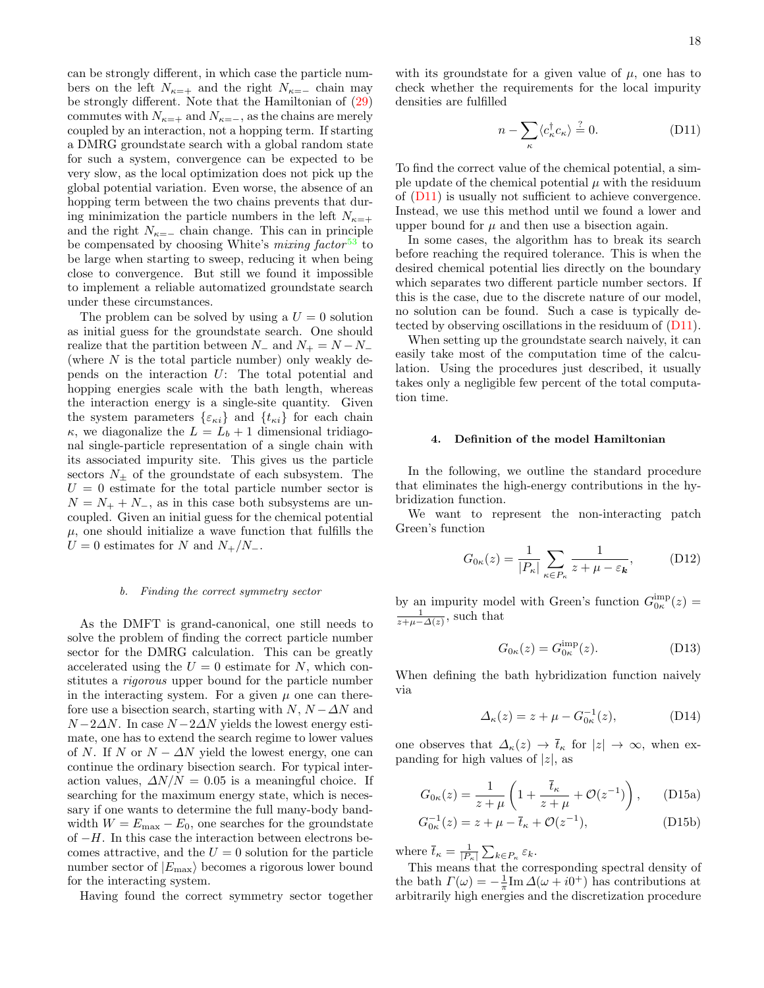can be strongly different, in which case the particle numbers on the left  $N_{\kappa=+}$  and the right  $N_{\kappa=-}$  chain may be strongly different. Note that the Hamiltonian of [\(29\)](#page-9-1) commutes with  $N_{\kappa=+}$  and  $N_{\kappa=-}$ , as the chains are merely coupled by an interaction, not a hopping term. If starting a DMRG groundstate search with a global random state for such a system, convergence can be expected to be very slow, as the local optimization does not pick up the global potential variation. Even worse, the absence of an hopping term between the two chains prevents that during minimization the particle numbers in the left  $N_{\kappa=+}$ and the right  $N_{\kappa=-}$  chain change. This can in principle be compensated by choosing White's *mixing factor*<sup>[53](#page-19-2)</sup> to be large when starting to sweep, reducing it when being close to convergence. But still we found it impossible to implement a reliable automatized groundstate search under these circumstances.

The problem can be solved by using a  $U = 0$  solution as initial guess for the groundstate search. One should realize that the partition between  $N_-\,$  and  $N_+ = N - N_-\,$ (where  $N$  is the total particle number) only weakly depends on the interaction U: The total potential and hopping energies scale with the bath length, whereas the interaction energy is a single-site quantity. Given the system parameters  $\{\varepsilon_{\kappa i}\}\$  and  $\{t_{\kappa i}\}\$  for each chain  $\kappa$ , we diagonalize the  $L = L_b + 1$  dimensional tridiagonal single-particle representation of a single chain with its associated impurity site. This gives us the particle sectors  $N_{\pm}$  of the groundstate of each subsystem. The  $U = 0$  estimate for the total particle number sector is  $N = N_{+} + N_{-}$ , as in this case both subsystems are uncoupled. Given an initial guess for the chemical potential  $\mu$ , one should initialize a wave function that fulfills the  $U = 0$  estimates for N and  $N_{+}/N_{-}$ .

### b. Finding the correct symmetry sector

As the DMFT is grand-canonical, one still needs to solve the problem of finding the correct particle number sector for the DMRG calculation. This can be greatly accelerated using the  $U = 0$  estimate for N, which constitutes a rigorous upper bound for the particle number in the interacting system. For a given  $\mu$  one can therefore use a bisection search, starting with  $N$ ,  $N - \Delta N$  and  $N-2\Delta N$ . In case  $N-2\Delta N$  yields the lowest energy estimate, one has to extend the search regime to lower values of N. If N or  $N - \Delta N$  yield the lowest energy, one can continue the ordinary bisection search. For typical interaction values,  $\Delta N/N = 0.05$  is a meaningful choice. If searching for the maximum energy state, which is necessary if one wants to determine the full many-body bandwidth  $W = E_{\text{max}} - E_0$ , one searches for the groundstate of  $-H$ . In this case the interaction between electrons becomes attractive, and the  $U = 0$  solution for the particle number sector of  $|E_{\text{max}}\rangle$  becomes a rigorous lower bound for the interacting system.

Having found the correct symmetry sector together

with its groundstate for a given value of  $\mu$ , one has to check whether the requirements for the local impurity densities are fulfilled

<span id="page-17-1"></span>
$$
n - \sum_{\kappa} \langle c_{\kappa}^{\dagger} c_{\kappa} \rangle \stackrel{?}{=} 0.
$$
 (D11)

To find the correct value of the chemical potential, a simple update of the chemical potential  $\mu$  with the residuum of [\(D11\)](#page-17-1) is usually not sufficient to achieve convergence. Instead, we use this method until we found a lower and upper bound for  $\mu$  and then use a bisection again.

In some cases, the algorithm has to break its search before reaching the required tolerance. This is when the desired chemical potential lies directly on the boundary which separates two different particle number sectors. If this is the case, due to the discrete nature of our model, no solution can be found. Such a case is typically detected by observing oscillations in the residuum of [\(D11\)](#page-17-1).

When setting up the groundstate search naively, it can easily take most of the computation time of the calculation. Using the procedures just described, it usually takes only a negligible few percent of the total computation time.

### <span id="page-17-0"></span>4. Definition of the model Hamiltonian

In the following, we outline the standard procedure that eliminates the high-energy contributions in the hybridization function.

We want to represent the non-interacting patch Green's function

$$
G_{0\kappa}(z) = \frac{1}{|P_{\kappa}|} \sum_{\kappa \in P_{\kappa}} \frac{1}{z + \mu - \varepsilon_{\mathbf{k}}},
$$
 (D12)

by an impurity model with Green's function  $G_{0\kappa}^{imp}(z) =$  $\frac{1}{z+\mu-\Delta(z)}$ , such that

<span id="page-17-3"></span>
$$
G_{0\kappa}(z) = G_{0\kappa}^{\text{imp}}(z). \tag{D13}
$$

When defining the bath hybridization function naively via

<span id="page-17-2"></span>
$$
\Delta_{\kappa}(z) = z + \mu - G_{0\kappa}^{-1}(z),\tag{D14}
$$

one observes that  $\Delta_{\kappa}(z) \to \bar{t}_{\kappa}$  for  $|z| \to \infty$ , when expanding for high values of  $|z|$ , as

$$
G_{0\kappa}(z) = \frac{1}{z+\mu} \left( 1 + \frac{\overline{t}_{\kappa}}{z+\mu} + \mathcal{O}(z^{-1}) \right), \qquad \text{(D15a)}
$$

$$
G_{0\kappa}^{-1}(z) = z + \mu - \bar{t}_{\kappa} + \mathcal{O}(z^{-1}),
$$
 (D15b)

where  $\bar{t}_{\kappa} = \frac{1}{|P_{\kappa}|} \sum_{k \in P_{\kappa}} \varepsilon_k$ .

This means that the corresponding spectral density of the bath  $\Gamma(\omega) = -\frac{1}{\pi} \text{Im} \,\Delta(\omega + i0^+)$  has contributions at arbitrarily high energies and the discretization procedure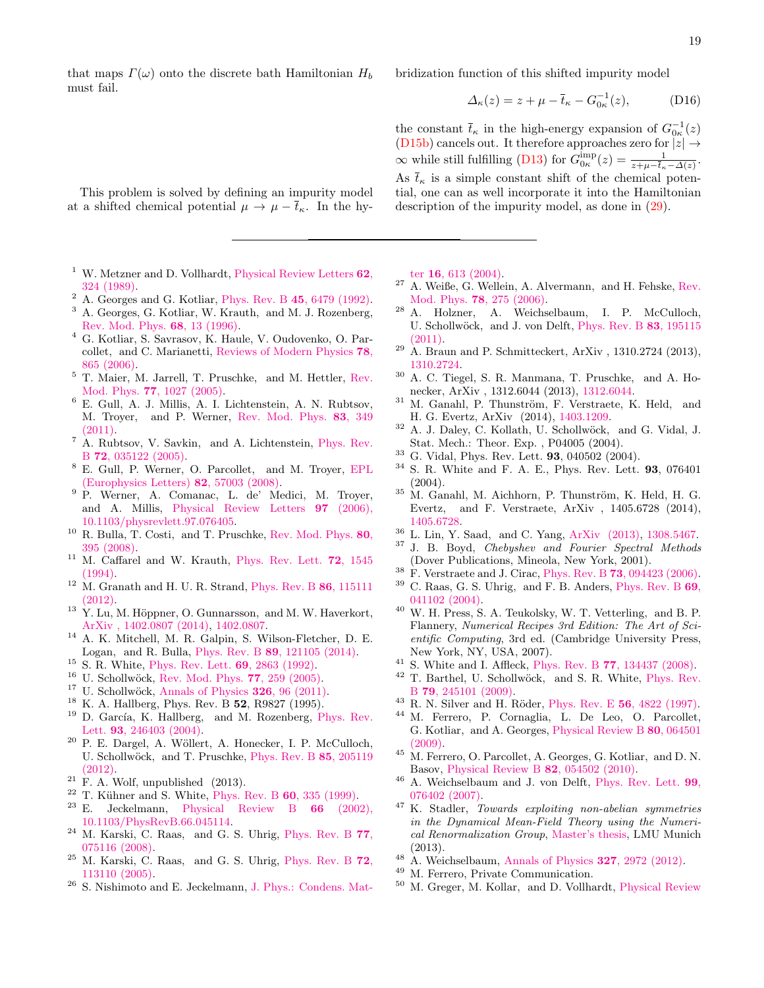that maps  $\Gamma(\omega)$  onto the discrete bath Hamiltonian  $H_b$ must fail.

bridization function of this shifted impurity model

$$
\Delta_{\kappa}(z) = z + \mu - \overline{t}_{\kappa} - G_{0\kappa}^{-1}(z), \tag{D16}
$$

the constant  $\bar{t}_{\kappa}$  in the high-energy expansion of  $G_{0\kappa}^{-1}(z)$ [\(D15b\)](#page-17-2) cancels out. It therefore approaches zero for  $|z| \rightarrow$  $\infty$  while still fulfilling [\(D13\)](#page-17-3) for  $G_{0\kappa}^{\text{imp}}(z) = \frac{1}{z + \mu - \overline{t}_{\kappa} - \Delta(z)}$ . As  $\bar{t}_{\kappa}$  is a simple constant shift of the chemical potential, one can as well incorporate it into the Hamiltonian description of the impurity model, as done in [\(29\)](#page-9-1).

This problem is solved by defining an impurity model at a shifted chemical potential  $\mu \to \mu - \bar{t}_{\kappa}$ . In the hy-

- <span id="page-18-0"></span><sup>1</sup> W. Metzner and D. Vollhardt, [Physical Review Letters](http://dx.doi.org/10.1103/PhysRevLett.62.324)  $62$ , [324 \(1989\).](http://dx.doi.org/10.1103/PhysRevLett.62.324)
- <sup>2</sup> A. Georges and G. Kotliar, Phys. Rev. B 45[, 6479 \(1992\).](http://dx.doi.org/10.1103/PhysRevB.45.6479)
- <span id="page-18-42"></span><sup>3</sup> A. Georges, G. Kotliar, W. Krauth, and M. J. Rozenberg, [Rev. Mod. Phys.](http://dx.doi.org/ 10.1103/RevModPhys.68.13) 68, 13 (1996).
- <span id="page-18-1"></span><sup>4</sup> G. Kotliar, S. Savrasov, K. Haule, V. Oudovenko, O. Parcollet, and C. Marianetti, [Reviews of Modern Physics](http://dx.doi.org/ 10.1103/RevModPhys.78.865) 78, [865 \(2006\).](http://dx.doi.org/ 10.1103/RevModPhys.78.865)
- <span id="page-18-2"></span><sup>5</sup> T. Maier, M. Jarrell, T. Pruschke, and M. Hettler, [Rev.](http://dx.doi.org/10.1103/RevModPhys.77.1027) Mod. Phys. 77[, 1027 \(2005\).](http://dx.doi.org/10.1103/RevModPhys.77.1027)
- <span id="page-18-3"></span><sup>6</sup> E. Gull, A. J. Millis, A. I. Lichtenstein, A. N. Rubtsov, M. Troyer, and P. Werner, [Rev. Mod. Phys.](http://dx.doi.org/ 10.1103/RevModPhys.83.349) 83, 349 [\(2011\).](http://dx.doi.org/ 10.1103/RevModPhys.83.349)
- <sup>7</sup> A. Rubtsov, V. Savkin, and A. Lichtenstein, [Phys. Rev.](http://dx.doi.org/10.1103/physrevb.72.035122) B 72[, 035122 \(2005\).](http://dx.doi.org/10.1103/physrevb.72.035122)
- <sup>8</sup> E. Gull, P. Werner, O. Parcollet, and M. Troyer, [EPL](http://dx.doi.org/10.1209/0295-5075/82/57003) [\(Europhysics Letters\)](http://dx.doi.org/10.1209/0295-5075/82/57003) 82, 57003 (2008).
- <span id="page-18-4"></span><sup>9</sup> P. Werner, A. Comanac, L. de' Medici, M. Troyer, and A. Millis, [Physical Review Letters](http://dx.doi.org/ 10.1103/physrevlett.97.076405) 97 (2006), [10.1103/physrevlett.97.076405.](http://dx.doi.org/ 10.1103/physrevlett.97.076405)
- <span id="page-18-5"></span> $10$  R. Bulla, T. Costi, and T. Pruschke, [Rev. Mod. Phys.](http://dx.doi.org/10.1103/RevModPhys.80.395) 80, [395 \(2008\).](http://dx.doi.org/10.1103/RevModPhys.80.395)
- <span id="page-18-6"></span> $11$  M. Caffarel and W. Krauth, [Phys. Rev. Lett.](http://dx.doi.org/10.1103/PhysRevLett.72.1545) **72**, 1545 [\(1994\).](http://dx.doi.org/10.1103/PhysRevLett.72.1545)
- <span id="page-18-9"></span><sup>12</sup> M. Granath and H. U. R. Strand, [Phys. Rev. B](http://dx.doi.org/10.1103/physrevb.86.115111) 86, 115111 [\(2012\).](http://dx.doi.org/10.1103/physrevb.86.115111)
- <span id="page-18-7"></span> $13$  Y. Lu, M. Höppner, O. Gunnarsson, and M. W. Haverkort, [ArXiv , 1402.0807 \(2014\),](http://arxiv.org/abs/1402.0807) [1402.0807.](http://arxiv.org/abs/1402.0807)
- <span id="page-18-8"></span><sup>14</sup> A. K. Mitchell, M. R. Galpin, S. Wilson-Fletcher, D. E. Logan, and R. Bulla, Phys. Rev. B 89[, 121105 \(2014\).](http://dx.doi.org/10.1103/physrevb.89.121105)
- <span id="page-18-10"></span><sup>15</sup> S. R. White, [Phys. Rev. Lett.](http://dx.doi.org/10.1103/PhysRevLett.69.2863) 69, 2863 (1992).
- $16$  U. Schollwöck, [Rev. Mod. Phys.](http://dx.doi.org/10.1103/RevModPhys.77.259) 77, 259 (2005).
- <span id="page-18-11"></span> $17$  U. Schollwöck, [Annals of Physics](http://dx.doi.org/10.1016/j.aop.2010.09.012)  $326$ , 96 (2011).
- <span id="page-18-12"></span><sup>18</sup> K. A. Hallberg, Phys. Rev. B 52, R9827 (1995).
- <span id="page-18-13"></span><sup>19</sup> D. García, K. Hallberg, and M. Rozenberg, [Phys. Rev.](http://dx.doi.org/10.1103/PhysRevLett.93.246403) Lett. 93[, 246403 \(2004\).](http://dx.doi.org/10.1103/PhysRevLett.93.246403)
- <span id="page-18-14"></span><sup>20</sup> P. E. Dargel, A. Wöllert, A. Honecker, I. P. McCulloch, U. Schollwöck, and T. Pruschke, [Phys. Rev. B](http://dx.doi.org/ 10.1103/PhysRevB.85.205119) 85, 205119 [\(2012\).](http://dx.doi.org/ 10.1103/PhysRevB.85.205119)
- <span id="page-18-15"></span> $21$  F. A. Wolf, unpublished (2013).
- <span id="page-18-16"></span><sup>22</sup> T. Kühner and S. White, [Phys. Rev. B](http://dx.doi.org/10.1103/PhysRevB.60.335) **60**, 335 (1999).
- <span id="page-18-17"></span>E. Jeckelmann, [Physical Review B](http://dx.doi.org/10.1103/PhysRevB.66.045114) 66 (2002), [10.1103/PhysRevB.66.045114.](http://dx.doi.org/10.1103/PhysRevB.66.045114)
- <span id="page-18-18"></span><sup>24</sup> M. Karski, C. Raas, and G. S. Uhrig, [Phys. Rev. B](http://dx.doi.org/10.1103/PhysRevB.77.075116) 77, [075116 \(2008\).](http://dx.doi.org/10.1103/PhysRevB.77.075116)
- $25$  M. Karski, C. Raas, and G. S. Uhrig, [Phys. Rev. B](http://dx.doi.org/10.1103/PhysRevB.72.113110) 72, [113110 \(2005\).](http://dx.doi.org/10.1103/PhysRevB.72.113110)
- <span id="page-18-19"></span><sup>26</sup> S. Nishimoto and E. Jeckelmann, [J. Phys.: Condens. Mat-](http://dx.doi.org/10.1088/0953-8984/16/4/010)

ter 16[, 613 \(2004\).](http://dx.doi.org/10.1088/0953-8984/16/4/010)

- <span id="page-18-20"></span><sup>27</sup> A. Weiße, G. Wellein, A. Alvermann, and H. Fehske, [Rev.](http://dx.doi.org/10.1103/RevModPhys.78.275) Mod. Phys. 78[, 275 \(2006\).](http://dx.doi.org/10.1103/RevModPhys.78.275)
- <span id="page-18-21"></span><sup>28</sup> A. Holzner, A. Weichselbaum, I. P. McCulloch, U. Schollwöck, and J. von Delft, [Phys. Rev. B](http://dx.doi.org/10.1103/PhysRevB.83.195115) 83, 195115 [\(2011\).](http://dx.doi.org/10.1103/PhysRevB.83.195115)
- $29$  A. Braun and P. Schmitteckert, ArXiv, 1310.2724 (2013), [1310.2724.](http://arxiv.org/abs/1310.2724)
- <span id="page-18-28"></span><sup>30</sup> A. C. Tiegel, S. R. Manmana, T. Pruschke, and A. Honecker, ArXiv , 1312.6044 (2013), [1312.6044.](http://arxiv.org/abs/1312.6044)
- <span id="page-18-22"></span>M. Ganahl, P. Thunström, F. Verstraete, K. Held, and H. G. Evertz, ArXiv (2014), [1403.1209.](http://arxiv.org/abs/1403.1209)
- <span id="page-18-23"></span> $32$  A. J. Daley, C. Kollath, U. Schollwöck, and G. Vidal, J. Stat. Mech.: Theor. Exp. , P04005 (2004).
- <sup>33</sup> G. Vidal, Phys. Rev. Lett. 93, 040502 (2004).
- <span id="page-18-24"></span> $34$  S. R. White and F. A. E., Phys. Rev. Lett. 93, 076401  $(2004).$
- <span id="page-18-25"></span> $35$  M. Ganahl, M. Aichhorn, P. Thunström, K. Held, H. G. Evertz, and F. Verstraete, ArXiv , 1405.6728 (2014), [1405.6728.](http://arxiv.org/abs/1405.6728)
- <span id="page-18-26"></span> $\frac{36}{10}$  L. Lin, Y. Saad, and C. Yang, [ArXiv \(2013\),](http://arxiv.org/abs/1308.5467v1) [1308.5467.](http://arxiv.org/abs/1308.5467)<br> $\frac{37}{10}$  R. Ray Chaluchau and Feurian Graphyl, Mathal
- <span id="page-18-27"></span><sup>37</sup> J. B. Boyd, Chebyshev and Fourier Spectral Methods (Dover Publications, Mineola, New York, 2001).
- <span id="page-18-29"></span><sup>38</sup> F. Verstraete and J. Cirac, Phys. Rev. B 73[, 094423 \(2006\).](http://dx.doi.org/10.1103/PhysRevB.73.094423)
- <span id="page-18-33"></span><sup>39</sup> C. Raas, G. S. Uhrig, and F. B. Anders, [Phys. Rev. B](http://dx.doi.org/10.1103/PhysRevB.69.041102) 69, [041102 \(2004\).](http://dx.doi.org/10.1103/PhysRevB.69.041102)
- <span id="page-18-30"></span><sup>40</sup> W. H. Press, S. A. Teukolsky, W. T. Vetterling, and B. P. Flannery, Numerical Recipes 3rd Edition: The Art of Scientific Computing, 3rd ed. (Cambridge University Press, New York, NY, USA, 2007).
- <span id="page-18-31"></span><sup>41</sup> S. White and I. Affleck, Phys. Rev. B 77[, 134437 \(2008\).](http://dx.doi.org/10.1103/physrevb.77.134437)
- <span id="page-18-32"></span><sup>42</sup> T. Barthel, U. Schollwöck, and S. R. White, [Phys. Rev.](http://dx.doi.org/10.1103/PhysRevB.79.245101) B 79[, 245101 \(2009\).](http://dx.doi.org/10.1103/PhysRevB.79.245101)
- <span id="page-18-34"></span> $43$  R. N. Silver and H. Röder, Phys. Rev. E 56[, 4822 \(1997\).](http://dx.doi.org/10.1103/PhysRevE.56.4822)
- <span id="page-18-35"></span><sup>44</sup> M. Ferrero, P. Cornaglia, L. De Leo, O. Parcollet, G. Kotliar, and A. Georges, [Physical Review B](http://dx.doi.org/ 10.1103/PhysRevB.80.064501) 80, 064501 [\(2009\).](http://dx.doi.org/ 10.1103/PhysRevB.80.064501)
- <span id="page-18-36"></span><sup>45</sup> M. Ferrero, O. Parcollet, A. Georges, G. Kotliar, and D. N. Basov, [Physical Review B](http://dx.doi.org/ 10.1103/PhysRevB.82.054502) 82, 054502 (2010).
- <span id="page-18-40"></span><sup>46</sup> A. Weichselbaum and J. von Delft, [Phys. Rev. Lett.](http://dx.doi.org/10.1103/PhysRevLett.99.076402) 99, [076402 \(2007\).](http://dx.doi.org/10.1103/PhysRevLett.99.076402)
- <span id="page-18-37"></span><sup>47</sup> K. Stadler, Towards exploiting non-abelian symmetries in the Dynamical Mean-Field Theory using the Numerical Renormalization Group, [Master's thesis,](http://www.theorie.physik.uni-muenchen.de/lsvondelft/publications/rew_thes_book/index.html) LMU Munich (2013).
- <span id="page-18-38"></span> $^{48}$  A. Weichselbaum, [Annals of Physics](http://dx.doi.org/10.1016/j.aop.2012.07.009) **327**, 2972 (2012).
- <span id="page-18-39"></span><sup>49</sup> M. Ferrero, Private Communication.
- <span id="page-18-41"></span><sup>50</sup> M. Greger, M. Kollar, and D. Vollhardt, [Physical Review](http://dx.doi.org/10.1103/physrevlett.110.046403)